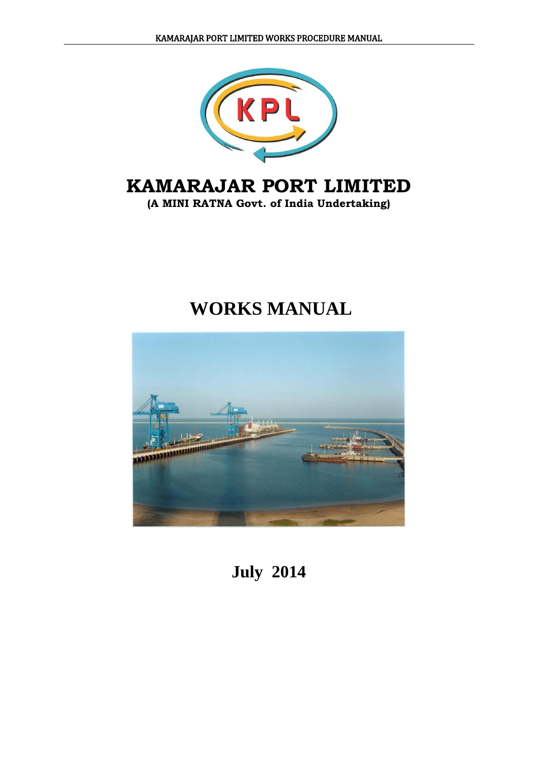

## **KAMARAJAR PORT LIMITED**

**(A MINI RATNA Govt. of India Undertaking)**

# **WORKS MANUAL**



## **July 2014**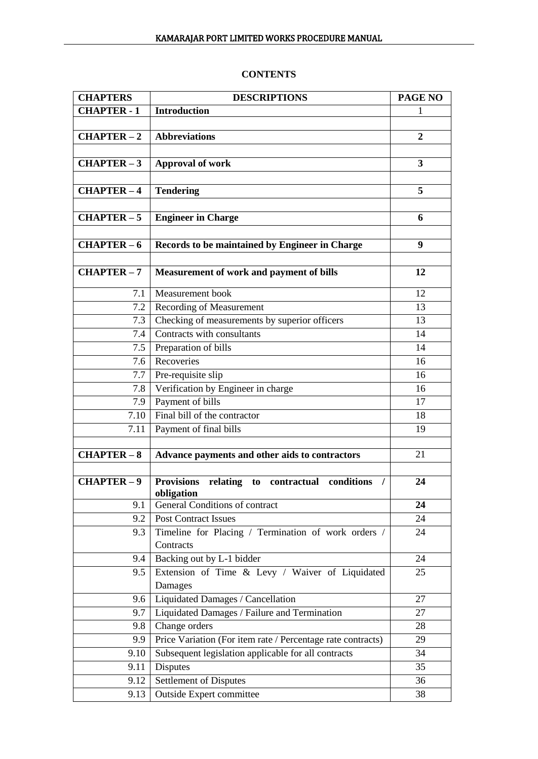## **CONTENTS**

| <b>CHAPTERS</b>    | <b>DESCRIPTIONS</b>                                                                        | PAGE NO                 |
|--------------------|--------------------------------------------------------------------------------------------|-------------------------|
| <b>CHAPTER - 1</b> | <b>Introduction</b>                                                                        | 1                       |
|                    |                                                                                            |                         |
| $CHAPTER-2$        | <b>Abbreviations</b>                                                                       | $\boldsymbol{2}$        |
|                    |                                                                                            |                         |
| $CHAPTER-3$        | <b>Approval of work</b>                                                                    | $\overline{\mathbf{3}}$ |
|                    |                                                                                            |                         |
| $CHAPTER-4$        | <b>Tendering</b>                                                                           | 5                       |
|                    |                                                                                            |                         |
| $CHAPTER - 5$      | <b>Engineer in Charge</b>                                                                  | 6                       |
|                    |                                                                                            |                         |
| $CHAPTER-6$        | Records to be maintained by Engineer in Charge                                             | 9                       |
|                    |                                                                                            |                         |
| <b>CHAPTER-7</b>   | Measurement of work and payment of bills                                                   | 12                      |
| 7.1                | Measurement book                                                                           | 12                      |
| 7.2                | <b>Recording of Measurement</b>                                                            | 13                      |
| 7.3                | Checking of measurements by superior officers                                              | 13                      |
| 7.4                | Contracts with consultants                                                                 | 14                      |
| 7.5                | Preparation of bills                                                                       | 14                      |
| 7.6                | Recoveries                                                                                 | 16                      |
| 7.7                | Pre-requisite slip                                                                         | 16                      |
| 7.8                | Verification by Engineer in charge                                                         | 16                      |
| 7.9                | Payment of bills                                                                           | 17                      |
| 7.10               | Final bill of the contractor                                                               | 18                      |
| 7.11               | Payment of final bills                                                                     | 19                      |
|                    |                                                                                            |                         |
| $CHAPTER-8$        | Advance payments and other aids to contractors                                             | 21                      |
|                    |                                                                                            |                         |
| $CHAPTER-9$        | <b>Provisions</b><br>contractual<br>conditions<br>relating<br>to<br>$\prime$<br>obligation | 24                      |
| 9.1                | General Conditions of contract                                                             | 24                      |
| 9.2                | <b>Post Contract Issues</b>                                                                | 24                      |
| 9.3                | Timeline for Placing / Termination of work orders /<br>Contracts                           | 24                      |
| 9.4                | Backing out by L-1 bidder                                                                  | 24                      |
| 9.5                | Extension of Time & Levy / Waiver of Liquidated                                            | 25                      |
|                    | Damages                                                                                    |                         |
| 9.6                | Liquidated Damages / Cancellation                                                          | 27                      |
| 9.7                | Liquidated Damages / Failure and Termination                                               | 27                      |
| 9.8                | Change orders                                                                              | 28                      |
| 9.9                | Price Variation (For item rate / Percentage rate contracts)                                | 29                      |
| 9.10               | Subsequent legislation applicable for all contracts                                        | 34                      |
| 9.11               | Disputes                                                                                   | 35                      |
| 9.12               | Settlement of Disputes                                                                     | 36                      |
| 9.13               | Outside Expert committee                                                                   | 38                      |
|                    |                                                                                            |                         |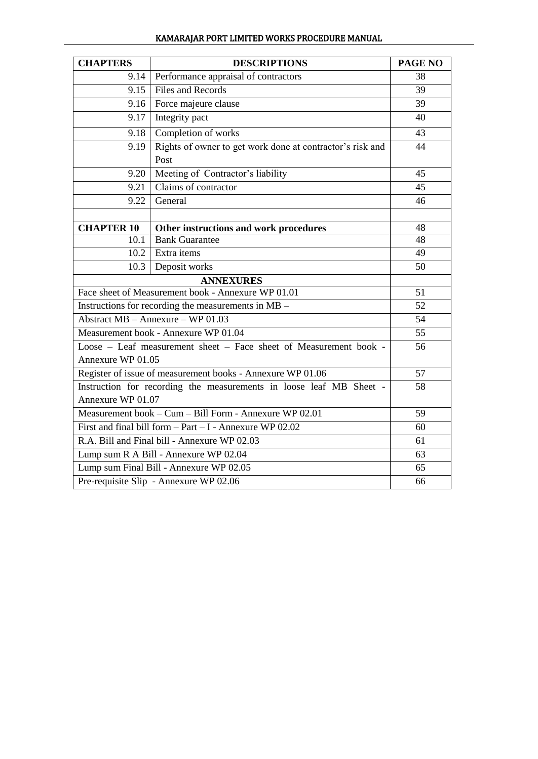| KAMARAJAR PORT LIMITED WORKS PROCEDURE MANUAL |
|-----------------------------------------------|
|-----------------------------------------------|

| <b>CHAPTERS</b>                                              | <b>DESCRIPTIONS</b>                                                 | <b>PAGE NO</b> |  |  |  |  |  |
|--------------------------------------------------------------|---------------------------------------------------------------------|----------------|--|--|--|--|--|
| 9.14                                                         | Performance appraisal of contractors                                | 38             |  |  |  |  |  |
| 9.15                                                         | <b>Files and Records</b>                                            |                |  |  |  |  |  |
| 9.16                                                         | Force majeure clause                                                | 39             |  |  |  |  |  |
| 9.17                                                         | Integrity pact                                                      | 40             |  |  |  |  |  |
| 9.18                                                         | Completion of works                                                 | 43             |  |  |  |  |  |
| 9.19                                                         | Rights of owner to get work done at contractor's risk and<br>Post   | 44             |  |  |  |  |  |
| 9.20                                                         | Meeting of Contractor's liability                                   | 45             |  |  |  |  |  |
| 9.21                                                         | Claims of contractor                                                | 45             |  |  |  |  |  |
| 9.22                                                         | General                                                             | 46             |  |  |  |  |  |
|                                                              |                                                                     |                |  |  |  |  |  |
| <b>CHAPTER 10</b>                                            | Other instructions and work procedures                              | 48             |  |  |  |  |  |
| 10.1                                                         | <b>Bank Guarantee</b>                                               | 48             |  |  |  |  |  |
| 10.2                                                         | Extra items                                                         | 49             |  |  |  |  |  |
| 10.3                                                         | Deposit works                                                       |                |  |  |  |  |  |
|                                                              | <b>ANNEXURES</b>                                                    |                |  |  |  |  |  |
|                                                              | Face sheet of Measurement book - Annexure WP 01.01                  | 51             |  |  |  |  |  |
|                                                              | Instructions for recording the measurements in MB -                 | 52             |  |  |  |  |  |
|                                                              | Abstract MB - Annexure - WP 01.03                                   | 54             |  |  |  |  |  |
|                                                              | Measurement book - Annexure WP 01.04                                | 55             |  |  |  |  |  |
| Annexure WP 01.05                                            | Loose - Leaf measurement sheet - Face sheet of Measurement book -   | 56             |  |  |  |  |  |
|                                                              | Register of issue of measurement books - Annexure WP 01.06          | 57             |  |  |  |  |  |
|                                                              | Instruction for recording the measurements in loose leaf MB Sheet - | 58             |  |  |  |  |  |
|                                                              | Annexure WP 01.07                                                   |                |  |  |  |  |  |
| Measurement book – Cum – Bill Form - Annexure WP 02.01       | 59                                                                  |                |  |  |  |  |  |
| First and final bill form $-$ Part $-$ I - Annexure WP 02.02 | 60                                                                  |                |  |  |  |  |  |
| R.A. Bill and Final bill - Annexure WP 02.03                 | 61                                                                  |                |  |  |  |  |  |
| Lump sum R A Bill - Annexure WP 02.04                        | 63                                                                  |                |  |  |  |  |  |
|                                                              | Lump sum Final Bill - Annexure WP 02.05                             | 65             |  |  |  |  |  |
|                                                              | Pre-requisite Slip - Annexure WP 02.06                              | 66             |  |  |  |  |  |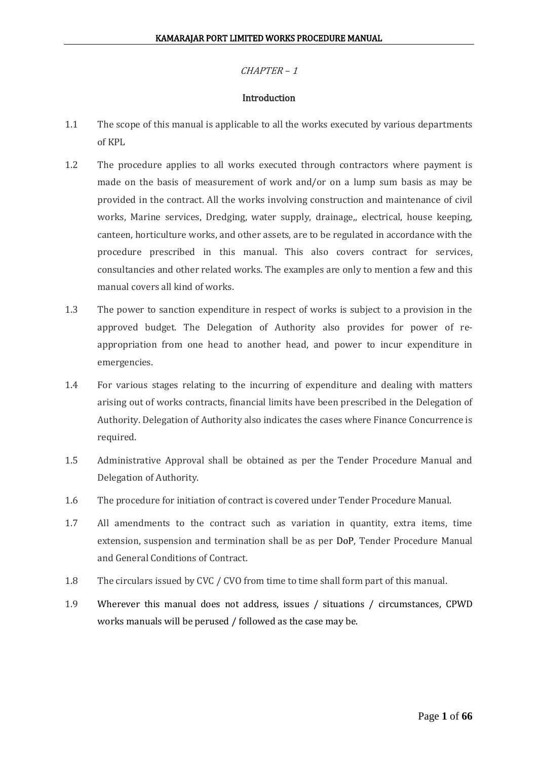#### **Introduction**

- 1.1 The scope of this manual is applicable to all the works executed by various departments of KPL
- 1.2 The procedure applies to all works executed through contractors where payment is made on the basis of measurement of work and/or on a lump sum basis as may be provided in the contract. All the works involving construction and maintenance of civil works, Marine services, Dredging, water supply, drainage,, electrical, house keeping, canteen, horticulture works, and other assets, are to be regulated in accordance with the procedure prescribed in this manual. This also covers contract for services, consultancies and other related works. The examples are only to mention a few and this manual covers all kind of works.
- 1.3 The power to sanction expenditure in respect of works is subject to a provision in the approved budget. The Delegation of Authority also provides for power of reappropriation from one head to another head, and power to incur expenditure in emergencies.
- 1.4 For various stages relating to the incurring of expenditure and dealing with matters arising out of works contracts, financial limits have been prescribed in the Delegation of Authority. Delegation of Authority also indicates the cases where Finance Concurrence is required.
- 1.5 Administrative Approval shall be obtained as per the Tender Procedure Manual and Delegation of Authority.
- 1.6 The procedure for initiation of contract is covered under Tender Procedure Manual.
- 1.7 All amendments to the contract such as variation in quantity, extra items, time extension, suspension and termination shall be as per DoP, Tender Procedure Manual and General Conditions of Contract.
- 1.8 The circulars issued by CVC / CVO from time to time shall form part of this manual.
- 1.9 Wherever this manual does not address, issues / situations / circumstances, CPWD works manuals will be perused / followed as the case may be.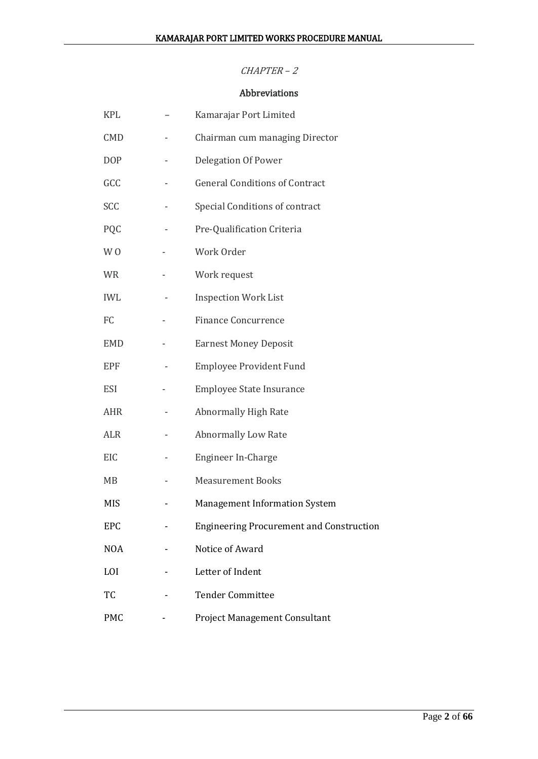## Abbreviations

| <b>KPL</b>     | Kamarajar Port Limited                          |
|----------------|-------------------------------------------------|
| <b>CMD</b>     | Chairman cum managing Director                  |
| <b>DOP</b>     | Delegation Of Power                             |
| GCC            | <b>General Conditions of Contract</b>           |
| SCC            | Special Conditions of contract                  |
| PQC            | Pre-Qualification Criteria                      |
| W <sub>0</sub> | Work Order                                      |
| <b>WR</b>      | Work request                                    |
| <b>IWL</b>     | <b>Inspection Work List</b>                     |
| FC             | <b>Finance Concurrence</b>                      |
| <b>EMD</b>     | <b>Earnest Money Deposit</b>                    |
| EPF            | <b>Employee Provident Fund</b>                  |
| <b>ESI</b>     | <b>Employee State Insurance</b>                 |
| <b>AHR</b>     | <b>Abnormally High Rate</b>                     |
| <b>ALR</b>     | Abnormally Low Rate                             |
| EIC            | Engineer In-Charge                              |
| MB             | <b>Measurement Books</b>                        |
| MIS            | <b>Management Information System</b>            |
| EPC            | <b>Engineering Procurement and Construction</b> |
| <b>NOA</b>     | Notice of Award                                 |
| LOI            | Letter of Indent                                |
| TC             | <b>Tender Committee</b>                         |
| <b>PMC</b>     | Project Management Consultant                   |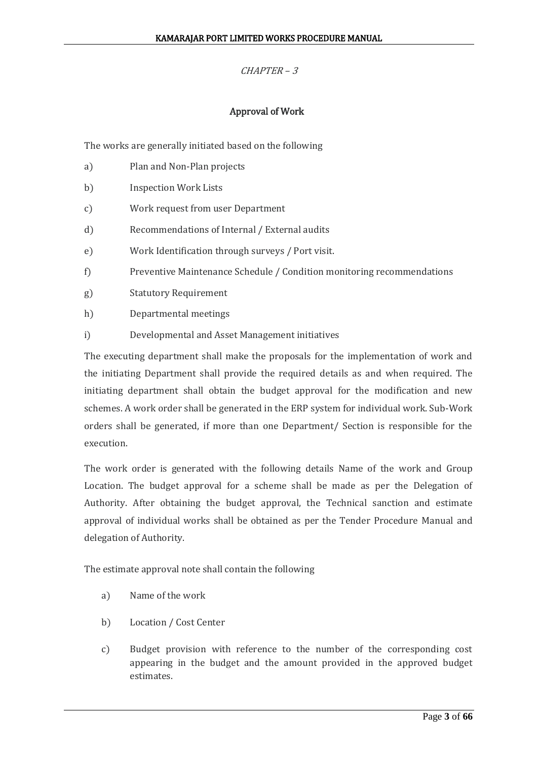## Approval of Work

The works are generally initiated based on the following

- a) Plan and Non-Plan projects
- b) Inspection Work Lists
- c) Work request from user Department
- d) Recommendations of Internal / External audits
- e) Work Identification through surveys / Port visit.
- f) Preventive Maintenance Schedule / Condition monitoring recommendations
- g) Statutory Requirement
- h) Departmental meetings
- i) Developmental and Asset Management initiatives

The executing department shall make the proposals for the implementation of work and the initiating Department shall provide the required details as and when required. The initiating department shall obtain the budget approval for the modification and new schemes. A work order shall be generated in the ERP system for individual work. Sub-Work orders shall be generated, if more than one Department/ Section is responsible for the execution.

The work order is generated with the following details Name of the work and Group Location. The budget approval for a scheme shall be made as per the Delegation of Authority. After obtaining the budget approval, the Technical sanction and estimate approval of individual works shall be obtained as per the Tender Procedure Manual and delegation of Authority.

The estimate approval note shall contain the following

- a) Name of the work
- b) Location / Cost Center
- c) Budget provision with reference to the number of the corresponding cost appearing in the budget and the amount provided in the approved budget estimates.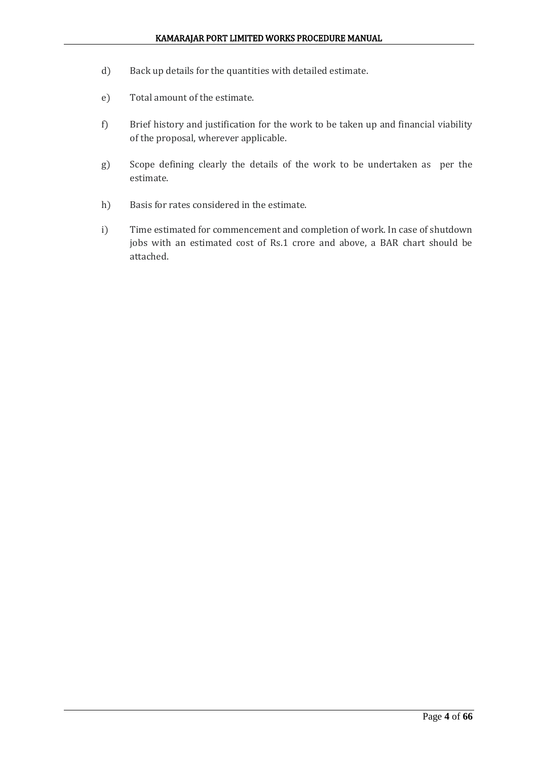- d) Back up details for the quantities with detailed estimate.
- e) Total amount of the estimate.
- f) Brief history and justification for the work to be taken up and financial viability of the proposal, wherever applicable.
- g) Scope defining clearly the details of the work to be undertaken as per the estimate.
- h) Basis for rates considered in the estimate.
- i) Time estimated for commencement and completion of work. In case of shutdown jobs with an estimated cost of Rs.1 crore and above, a BAR chart should be attached.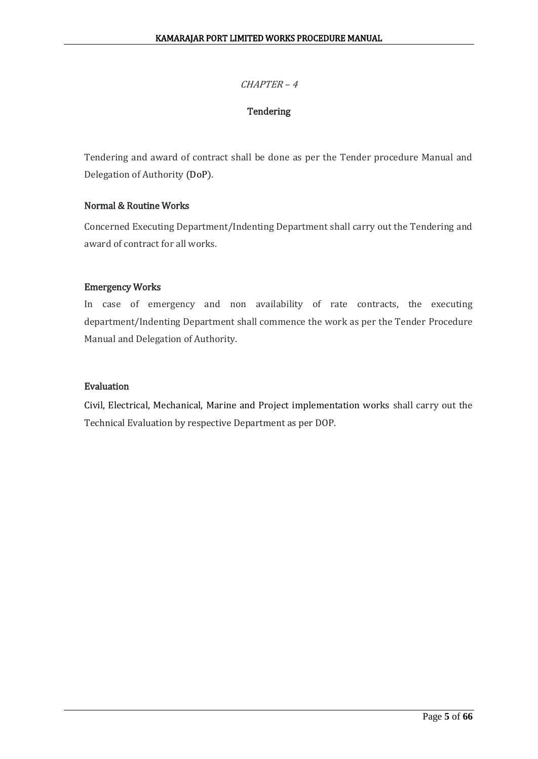## **Tendering**

Tendering and award of contract shall be done as per the Tender procedure Manual and Delegation of Authority (DoP).

## Normal & Routine Works

Concerned Executing Department/Indenting Department shall carry out the Tendering and award of contract for all works.

## Emergency Works

In case of emergency and non availability of rate contracts, the executing department/Indenting Department shall commence the work as per the Tender Procedure Manual and Delegation of Authority.

## Evaluation

Civil, Electrical, Mechanical, Marine and Project implementation works shall carry out the Technical Evaluation by respective Department as per DOP.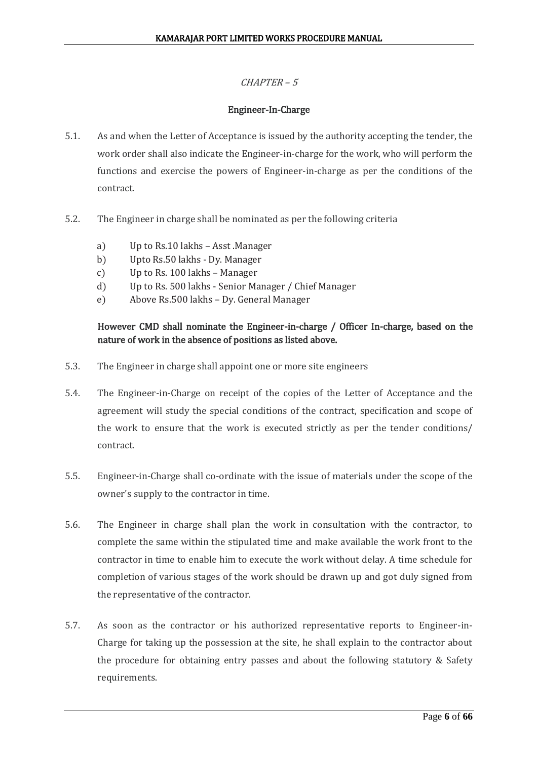## Engineer-In-Charge

- 5.1. As and when the Letter of Acceptance is issued by the authority accepting the tender, the work order shall also indicate the Engineer-in-charge for the work, who will perform the functions and exercise the powers of Engineer-in-charge as per the conditions of the contract.
- 5.2. The Engineer in charge shall be nominated as per the following criteria
	- a) Up to Rs.10 lakhs Asst .Manager
	- b) Upto Rs.50 lakhs Dy. Manager
	- c) Up to Rs. 100 lakhs Manager
	- d) Up to Rs. 500 lakhs Senior Manager / Chief Manager
	- e) Above Rs.500 lakhs Dy. General Manager

## However CMD shall nominate the Engineer-in-charge / Officer In-charge, based on the nature of work in the absence of positions as listed above.

- 5.3. The Engineer in charge shall appoint one or more site engineers
- 5.4. The Engineer-in-Charge on receipt of the copies of the Letter of Acceptance and the agreement will study the special conditions of the contract, specification and scope of the work to ensure that the work is executed strictly as per the tender conditions/ contract.
- 5.5. Engineer-in-Charge shall co-ordinate with the issue of materials under the scope of the owner's supply to the contractor in time.
- 5.6. The Engineer in charge shall plan the work in consultation with the contractor, to complete the same within the stipulated time and make available the work front to the contractor in time to enable him to execute the work without delay. A time schedule for completion of various stages of the work should be drawn up and got duly signed from the representative of the contractor.
- 5.7. As soon as the contractor or his authorized representative reports to Engineer-in-Charge for taking up the possession at the site, he shall explain to the contractor about the procedure for obtaining entry passes and about the following statutory & Safety requirements.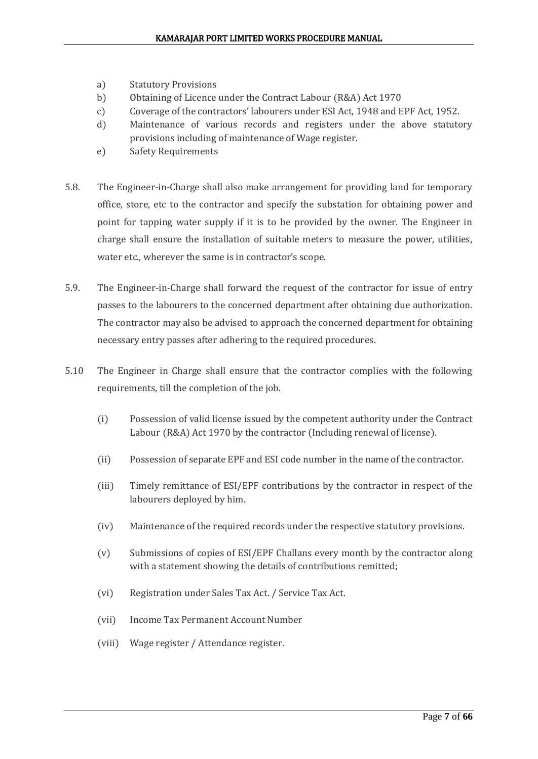- a) Statutory Provisions
- b) Obtaining of Licence under the Contract Labour (R&A) Act 1970
- c) Coverage of the contractors' labourers under ESI Act, 1948 and EPF Act, 1952.
- d) Maintenance of various records and registers under the above statutory provisions including of maintenance of Wage register.
- e) Safety Requirements
- 5.8. The Engineer-in-Charge shall also make arrangement for providing land for temporary office, store, etc to the contractor and specify the substation for obtaining power and point for tapping water supply if it is to be provided by the owner. The Engineer in charge shall ensure the installation of suitable meters to measure the power, utilities, water etc., wherever the same is in contractor's scope.
- 5.9. The Engineer-in-Charge shall forward the request of the contractor for issue of entry passes to the labourers to the concerned department after obtaining due authorization. The contractor may also be advised to approach the concerned department for obtaining necessary entry passes after adhering to the required procedures.
- 5.10 The Engineer in Charge shall ensure that the contractor complies with the following requirements, till the completion of the job.
	- (i) Possession of valid license issued by the competent authority under the Contract Labour (R&A) Act 1970 by the contractor (Including renewal of license).
	- (ii) Possession of separate EPF and ESI code number in the name of the contractor.
	- (iii) Timely remittance of ESI/EPF contributions by the contractor in respect of the labourers deployed by him.
	- (iv) Maintenance of the required records under the respective statutory provisions.
	- (v) Submissions of copies of ESI/EPF Challans every month by the contractor along with a statement showing the details of contributions remitted;
	- (vi) Registration under Sales Tax Act. / Service Tax Act.
	- (vii) Income Tax Permanent Account Number
	- (viii) Wage register / Attendance register.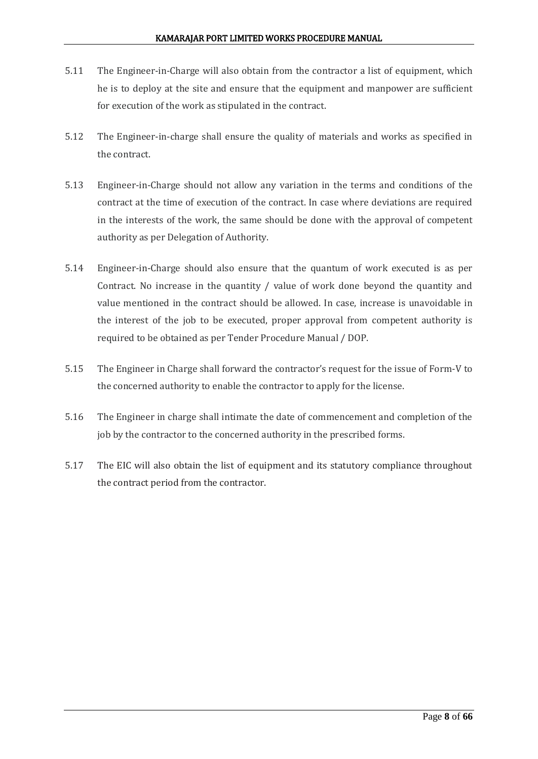- 5.11 The Engineer-in-Charge will also obtain from the contractor a list of equipment, which he is to deploy at the site and ensure that the equipment and manpower are sufficient for execution of the work as stipulated in the contract.
- 5.12 The Engineer-in-charge shall ensure the quality of materials and works as specified in the contract.
- 5.13 Engineer-in-Charge should not allow any variation in the terms and conditions of the contract at the time of execution of the contract. In case where deviations are required in the interests of the work, the same should be done with the approval of competent authority as per Delegation of Authority.
- 5.14 Engineer-in-Charge should also ensure that the quantum of work executed is as per Contract. No increase in the quantity / value of work done beyond the quantity and value mentioned in the contract should be allowed. In case, increase is unavoidable in the interest of the job to be executed, proper approval from competent authority is required to be obtained as per Tender Procedure Manual / DOP.
- 5.15 The Engineer in Charge shall forward the contractor's request for the issue of Form-V to the concerned authority to enable the contractor to apply for the license.
- 5.16 The Engineer in charge shall intimate the date of commencement and completion of the job by the contractor to the concerned authority in the prescribed forms.
- 5.17 The EIC will also obtain the list of equipment and its statutory compliance throughout the contract period from the contractor.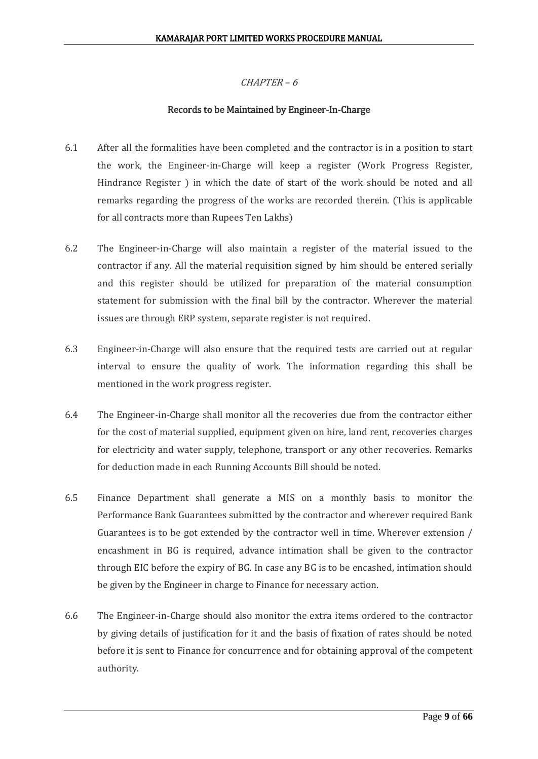## Records to be Maintained by Engineer-In-Charge

- 6.1 After all the formalities have been completed and the contractor is in a position to start the work, the Engineer-in-Charge will keep a register (Work Progress Register, Hindrance Register ) in which the date of start of the work should be noted and all remarks regarding the progress of the works are recorded therein. (This is applicable for all contracts more than Rupees Ten Lakhs)
- 6.2 The Engineer-in-Charge will also maintain a register of the material issued to the contractor if any. All the material requisition signed by him should be entered serially and this register should be utilized for preparation of the material consumption statement for submission with the final bill by the contractor. Wherever the material issues are through ERP system, separate register is not required.
- 6.3 Engineer-in-Charge will also ensure that the required tests are carried out at regular interval to ensure the quality of work. The information regarding this shall be mentioned in the work progress register.
- 6.4 The Engineer-in-Charge shall monitor all the recoveries due from the contractor either for the cost of material supplied, equipment given on hire, land rent, recoveries charges for electricity and water supply, telephone, transport or any other recoveries. Remarks for deduction made in each Running Accounts Bill should be noted.
- 6.5 Finance Department shall generate a MIS on a monthly basis to monitor the Performance Bank Guarantees submitted by the contractor and wherever required Bank Guarantees is to be got extended by the contractor well in time. Wherever extension / encashment in BG is required, advance intimation shall be given to the contractor through EIC before the expiry of BG. In case any BG is to be encashed, intimation should be given by the Engineer in charge to Finance for necessary action.
- 6.6 The Engineer-in-Charge should also monitor the extra items ordered to the contractor by giving details of justification for it and the basis of fixation of rates should be noted before it is sent to Finance for concurrence and for obtaining approval of the competent authority.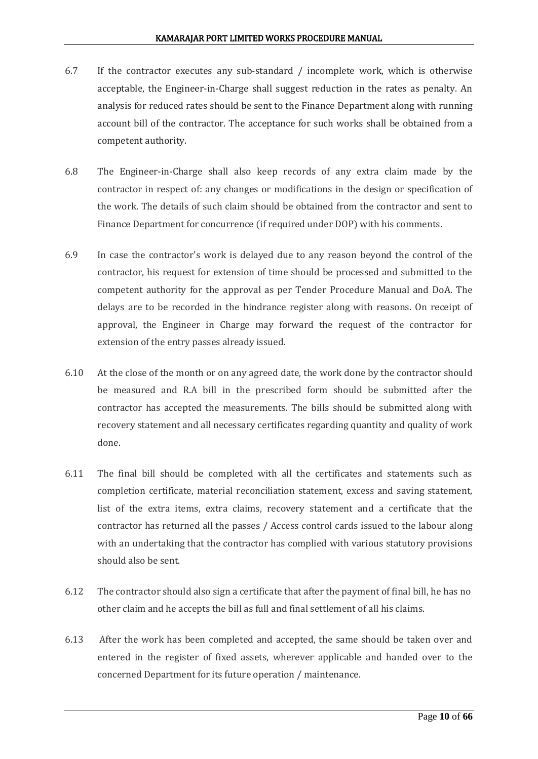- 6.7 If the contractor executes any sub-standard / incomplete work, which is otherwise acceptable, the Engineer-in-Charge shall suggest reduction in the rates as penalty. An analysis for reduced rates should be sent to the Finance Department along with running account bill of the contractor. The acceptance for such works shall be obtained from a competent authority.
- 6.8 The Engineer-in-Charge shall also keep records of any extra claim made by the contractor in respect of: any changes or modifications in the design or specification of the work. The details of such claim should be obtained from the contractor and sent to Finance Department for concurrence (if required under DOP) with his comments.
- 6.9 In case the contractor's work is delayed due to any reason beyond the control of the contractor, his request for extension of time should be processed and submitted to the competent authority for the approval as per Tender Procedure Manual and DoA. The delays are to be recorded in the hindrance register along with reasons. On receipt of approval, the Engineer in Charge may forward the request of the contractor for extension of the entry passes already issued.
- 6.10 At the close of the month or on any agreed date, the work done by the contractor should be measured and R.A bill in the prescribed form should be submitted after the contractor has accepted the measurements. The bills should be submitted along with recovery statement and all necessary certificates regarding quantity and quality of work done.
- 6.11 The final bill should be completed with all the certificates and statements such as completion certificate, material reconciliation statement, excess and saving statement, list of the extra items, extra claims, recovery statement and a certificate that the contractor has returned all the passes / Access control cards issued to the labour along with an undertaking that the contractor has complied with various statutory provisions should also be sent.
- 6.12 The contractor should also sign a certificate that after the payment of final bill, he has no other claim and he accepts the bill as full and final settlement of all his claims.
- 6.13 After the work has been completed and accepted, the same should be taken over and entered in the register of fixed assets, wherever applicable and handed over to the concerned Department for its future operation / maintenance.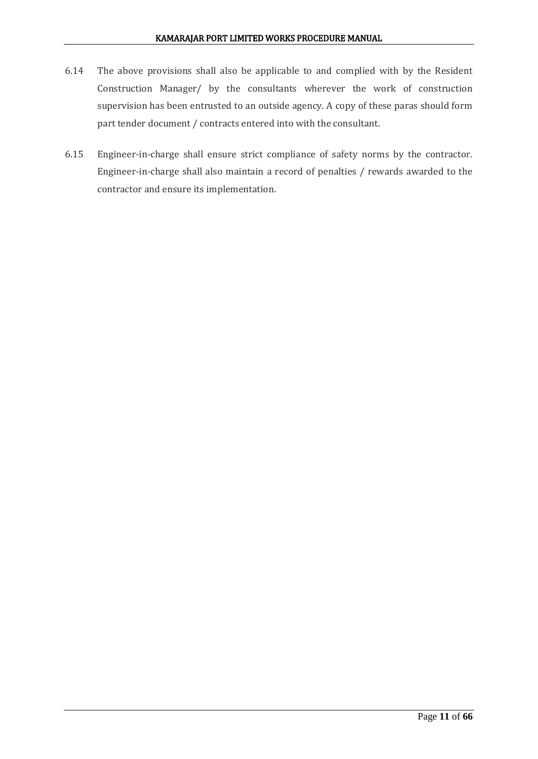- 6.14 The above provisions shall also be applicable to and complied with by the Resident Construction Manager/ by the consultants wherever the work of construction supervision has been entrusted to an outside agency. A copy of these paras should form part tender document / contracts entered into with the consultant.
- 6.15 Engineer-in-charge shall ensure strict compliance of safety norms by the contractor. Engineer-in-charge shall also maintain a record of penalties / rewards awarded to the contractor and ensure its implementation.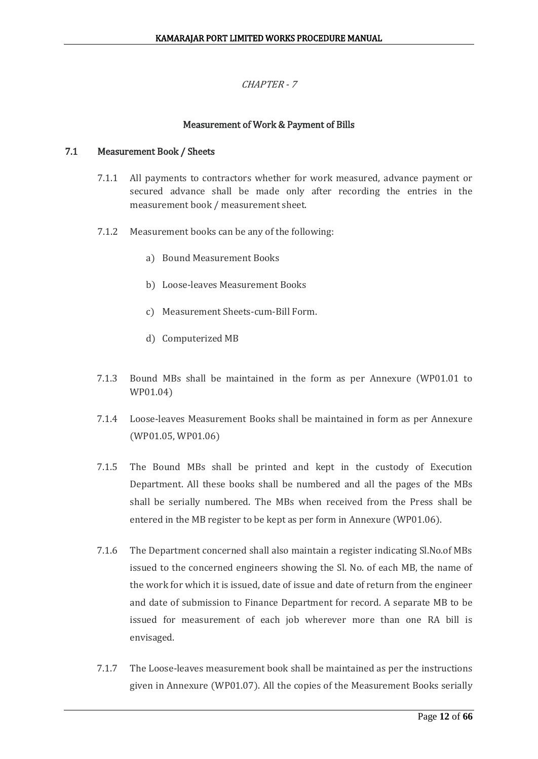## CHAPTER - 7

## Measurement of Work & Payment of Bills

## 7.1 Measurement Book / Sheets

- 7.1.1 All payments to contractors whether for work measured, advance payment or secured advance shall be made only after recording the entries in the measurement book / measurement sheet.
- 7.1.2 Measurement books can be any of the following:
	- a) Bound Measurement Books
	- b) Loose-leaves Measurement Books
	- c) Measurement Sheets-cum-Bill Form.
	- d) Computerized MB
- 7.1.3 Bound MBs shall be maintained in the form as per Annexure (WP01.01 to WP01.04)
- 7.1.4 Loose-leaves Measurement Books shall be maintained in form as per Annexure (WP01.05, WP01.06)
- 7.1.5 The Bound MBs shall be printed and kept in the custody of Execution Department. All these books shall be numbered and all the pages of the MBs shall be serially numbered. The MBs when received from the Press shall be entered in the MB register to be kept as per form in Annexure (WP01.06).
- 7.1.6 The Department concerned shall also maintain a register indicating Sl.No.of MBs issued to the concerned engineers showing the Sl. No. of each MB, the name of the work for which it is issued, date of issue and date of return from the engineer and date of submission to Finance Department for record. A separate MB to be issued for measurement of each job wherever more than one RA bill is envisaged.
- 7.1.7 The Loose-leaves measurement book shall be maintained as per the instructions given in Annexure (WP01.07). All the copies of the Measurement Books serially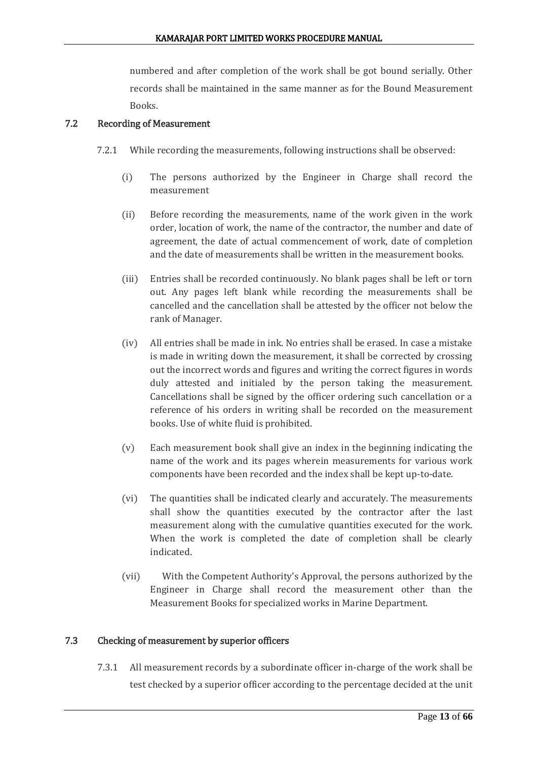numbered and after completion of the work shall be got bound serially. Other records shall be maintained in the same manner as for the Bound Measurement Books.

## 7.2 Recording of Measurement

- 7.2.1 While recording the measurements, following instructions shall be observed:
	- (i) The persons authorized by the Engineer in Charge shall record the measurement
	- (ii) Before recording the measurements, name of the work given in the work order, location of work, the name of the contractor, the number and date of agreement, the date of actual commencement of work, date of completion and the date of measurements shall be written in the measurement books.
	- (iii) Entries shall be recorded continuously. No blank pages shall be left or torn out. Any pages left blank while recording the measurements shall be cancelled and the cancellation shall be attested by the officer not below the rank of Manager.
	- (iv) All entries shall be made in ink. No entries shall be erased. In case a mistake is made in writing down the measurement, it shall be corrected by crossing out the incorrect words and figures and writing the correct figures in words duly attested and initialed by the person taking the measurement. Cancellations shall be signed by the officer ordering such cancellation or a reference of his orders in writing shall be recorded on the measurement books. Use of white fluid is prohibited.
	- (v) Each measurement book shall give an index in the beginning indicating the name of the work and its pages wherein measurements for various work components have been recorded and the index shall be kept up-to-date.
	- (vi) The quantities shall be indicated clearly and accurately. The measurements shall show the quantities executed by the contractor after the last measurement along with the cumulative quantities executed for the work. When the work is completed the date of completion shall be clearly indicated.
	- (vii) With the Competent Authority's Approval, the persons authorized by the Engineer in Charge shall record the measurement other than the Measurement Books for specialized works in Marine Department.

## 7.3 Checking of measurement by superior officers

7.3.1 All measurement records by a subordinate officer in-charge of the work shall be test checked by a superior officer according to the percentage decided at the unit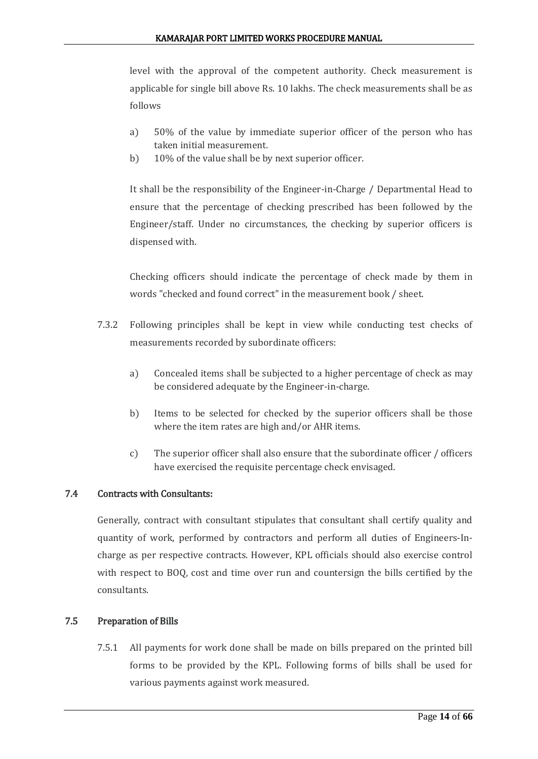level with the approval of the competent authority. Check measurement is applicable for single bill above Rs. 10 lakhs. The check measurements shall be as follows

- a) 50% of the value by immediate superior officer of the person who has taken initial measurement.
- b) 10% of the value shall be by next superior officer.

It shall be the responsibility of the Engineer-in-Charge / Departmental Head to ensure that the percentage of checking prescribed has been followed by the Engineer/staff. Under no circumstances, the checking by superior officers is dispensed with.

Checking officers should indicate the percentage of check made by them in words "checked and found correct" in the measurement book / sheet.

- 7.3.2 Following principles shall be kept in view while conducting test checks of measurements recorded by subordinate officers:
	- a) Concealed items shall be subjected to a higher percentage of check as may be considered adequate by the Engineer-in-charge.
	- b) Items to be selected for checked by the superior officers shall be those where the item rates are high and/or AHR items.
	- c) The superior officer shall also ensure that the subordinate officer / officers have exercised the requisite percentage check envisaged.

## 7.4 Contracts with Consultants:

Generally, contract with consultant stipulates that consultant shall certify quality and quantity of work, performed by contractors and perform all duties of Engineers-Incharge as per respective contracts. However, KPL officials should also exercise control with respect to BOQ, cost and time over run and countersign the bills certified by the consultants.

## 7.5 Preparation of Bills

7.5.1 All payments for work done shall be made on bills prepared on the printed bill forms to be provided by the KPL. Following forms of bills shall be used for various payments against work measured.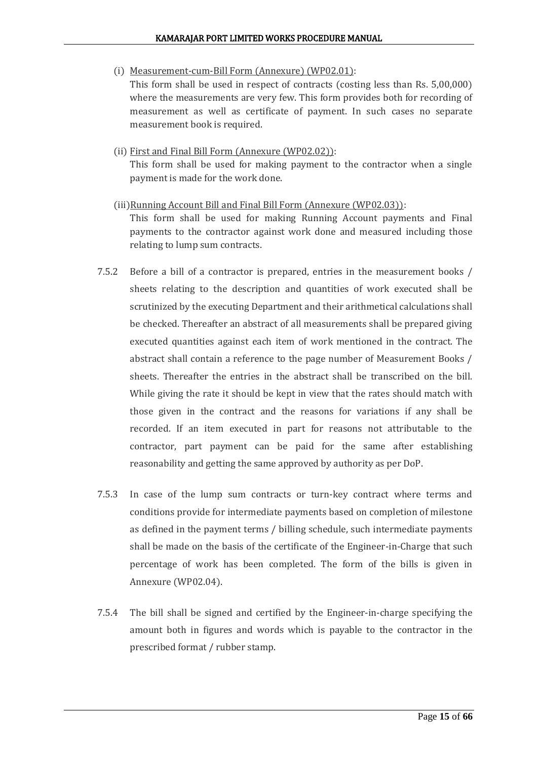(i) Measurement-cum-Bill Form (Annexure) (WP02.01):

This form shall be used in respect of contracts (costing less than Rs. 5,00,000) where the measurements are very few. This form provides both for recording of measurement as well as certificate of payment. In such cases no separate measurement book is required.

(ii) First and Final Bill Form (Annexure (WP02.02)):

This form shall be used for making payment to the contractor when a single payment is made for the work done.

(iii)Running Account Bill and Final Bill Form (Annexure (WP02.03)):

This form shall be used for making Running Account payments and Final payments to the contractor against work done and measured including those relating to lump sum contracts.

- 7.5.2 Before a bill of a contractor is prepared, entries in the measurement books / sheets relating to the description and quantities of work executed shall be scrutinized by the executing Department and their arithmetical calculations shall be checked. Thereafter an abstract of all measurements shall be prepared giving executed quantities against each item of work mentioned in the contract. The abstract shall contain a reference to the page number of Measurement Books / sheets. Thereafter the entries in the abstract shall be transcribed on the bill. While giving the rate it should be kept in view that the rates should match with those given in the contract and the reasons for variations if any shall be recorded. If an item executed in part for reasons not attributable to the contractor, part payment can be paid for the same after establishing reasonability and getting the same approved by authority as per DoP.
- 7.5.3 In case of the lump sum contracts or turn-key contract where terms and conditions provide for intermediate payments based on completion of milestone as defined in the payment terms / billing schedule, such intermediate payments shall be made on the basis of the certificate of the Engineer-in-Charge that such percentage of work has been completed. The form of the bills is given in Annexure (WP02.04).
- 7.5.4 The bill shall be signed and certified by the Engineer-in-charge specifying the amount both in figures and words which is payable to the contractor in the prescribed format / rubber stamp.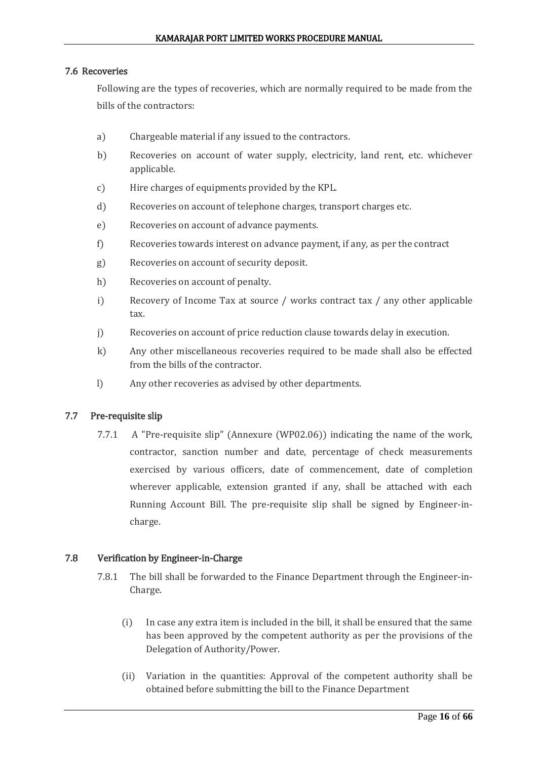## 7.6 Recoveries

Following are the types of recoveries, which are normally required to be made from the bills of the contractors:

- a) Chargeable material if any issued to the contractors.
- b) Recoveries on account of water supply, electricity, land rent, etc. whichever applicable.
- c) Hire charges of equipments provided by the KPL.
- d) Recoveries on account of telephone charges, transport charges etc.
- e) Recoveries on account of advance payments.
- f) Recoveries towards interest on advance payment, if any, as per the contract
- g) Recoveries on account of security deposit.
- h) Recoveries on account of penalty.
- i) Recovery of Income Tax at source / works contract tax / any other applicable tax.
- j) Recoveries on account of price reduction clause towards delay in execution.
- k) Any other miscellaneous recoveries required to be made shall also be effected from the bills of the contractor.
- l) Any other recoveries as advised by other departments.

## 7.7 Pre-requisite slip

7.7.1 A "Pre-requisite slip" (Annexure (WP02.06)) indicating the name of the work, contractor, sanction number and date, percentage of check measurements exercised by various officers, date of commencement, date of completion wherever applicable, extension granted if any, shall be attached with each Running Account Bill. The pre-requisite slip shall be signed by Engineer-incharge.

## 7.8 Verification by Engineer-in-Charge

- 7.8.1 The bill shall be forwarded to the Finance Department through the Engineer-in-Charge.
	- (i) In case any extra item is included in the bill, it shall be ensured that the same has been approved by the competent authority as per the provisions of the Delegation of Authority/Power.
	- (ii) Variation in the quantities: Approval of the competent authority shall be obtained before submitting the bill to the Finance Department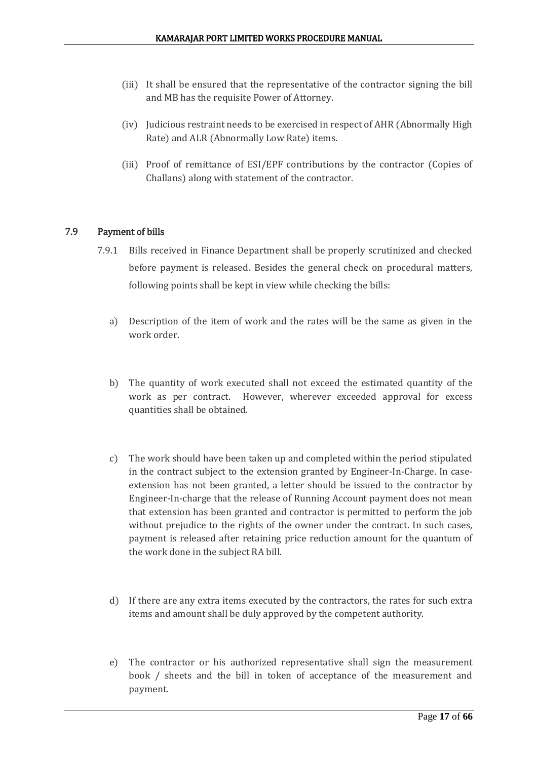- (iii) It shall be ensured that the representative of the contractor signing the bill and MB has the requisite Power of Attorney.
- (iv) Judicious restraint needs to be exercised in respect of AHR (Abnormally High Rate) and ALR (Abnormally Low Rate) items.
- (iii) Proof of remittance of ESI/EPF contributions by the contractor (Copies of Challans) along with statement of the contractor.

## 7.9 Payment of bills

- 7.9.1 Bills received in Finance Department shall be properly scrutinized and checked before payment is released. Besides the general check on procedural matters, following points shall be kept in view while checking the bills:
	- a) Description of the item of work and the rates will be the same as given in the work order.
	- b) The quantity of work executed shall not exceed the estimated quantity of the work as per contract. However, wherever exceeded approval for excess quantities shall be obtained.
	- c) The work should have been taken up and completed within the period stipulated in the contract subject to the extension granted by Engineer-In-Charge. In caseextension has not been granted, a letter should be issued to the contractor by Engineer-In-charge that the release of Running Account payment does not mean that extension has been granted and contractor is permitted to perform the job without prejudice to the rights of the owner under the contract. In such cases, payment is released after retaining price reduction amount for the quantum of the work done in the subject RA bill.
	- d) If there are any extra items executed by the contractors, the rates for such extra items and amount shall be duly approved by the competent authority.
	- e) The contractor or his authorized representative shall sign the measurement book / sheets and the bill in token of acceptance of the measurement and payment.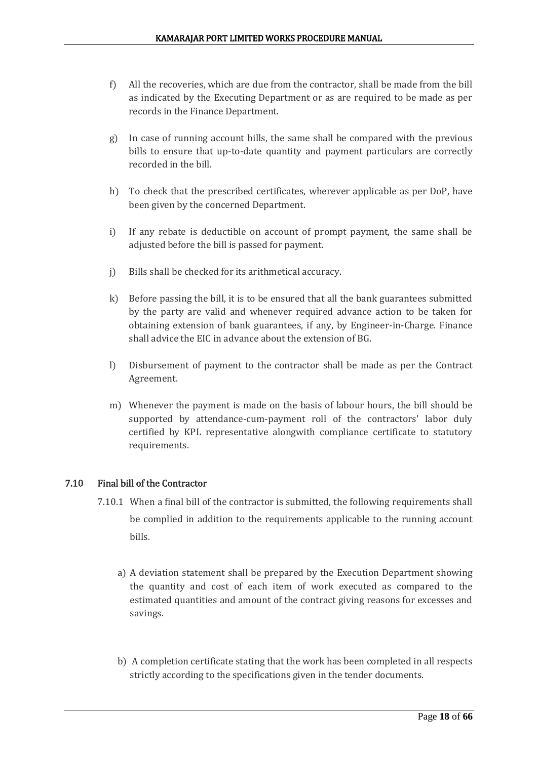- f) All the recoveries, which are due from the contractor, shall be made from the bill as indicated by the Executing Department or as are required to be made as per records in the Finance Department.
- g) In case of running account bills, the same shall be compared with the previous bills to ensure that up-to-date quantity and payment particulars are correctly recorded in the bill.
- h) To check that the prescribed certificates, wherever applicable as per DoP, have been given by the concerned Department.
- i) If any rebate is deductible on account of prompt payment, the same shall be adjusted before the bill is passed for payment.
- j) Bills shall be checked for its arithmetical accuracy.
- k) Before passing the bill, it is to be ensured that all the bank guarantees submitted by the party are valid and whenever required advance action to be taken for obtaining extension of bank guarantees, if any, by Engineer-in-Charge. Finance shall advice the EIC in advance about the extension of BG.
- l) Disbursement of payment to the contractor shall be made as per the Contract Agreement.
- m) Whenever the payment is made on the basis of labour hours, the bill should be supported by attendance-cum-payment roll of the contractors' labor duly certified by KPL representative alongwith compliance certificate to statutory requirements.

## 7.10 Final bill of the Contractor

- 7.10.1 When a final bill of the contractor is submitted, the following requirements shall be complied in addition to the requirements applicable to the running account bills.
	- a) A deviation statement shall be prepared by the Execution Department showing the quantity and cost of each item of work executed as compared to the estimated quantities and amount of the contract giving reasons for excesses and savings.
	- b) A completion certificate stating that the work has been completed in all respects strictly according to the specifications given in the tender documents.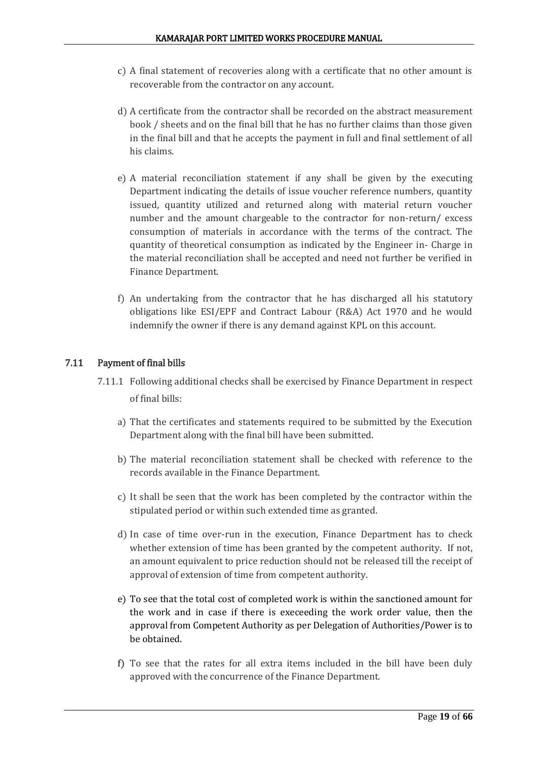- c) A final statement of recoveries along with a certificate that no other amount is recoverable from the contractor on any account.
- d) A certificate from the contractor shall be recorded on the abstract measurement book / sheets and on the final bill that he has no further claims than those given in the final bill and that he accepts the payment in full and final settlement of all his claims.
- e) A material reconciliation statement if any shall be given by the executing Department indicating the details of issue voucher reference numbers, quantity issued, quantity utilized and returned along with material return voucher number and the amount chargeable to the contractor for non-return/ excess consumption of materials in accordance with the terms of the contract. The quantity of theoretical consumption as indicated by the Engineer in- Charge in the material reconciliation shall be accepted and need not further be verified in Finance Department.
- f) An undertaking from the contractor that he has discharged all his statutory obligations like ESI/EPF and Contract Labour (R&A) Act 1970 and he would indemnify the owner if there is any demand against KPL on this account.

## 7.11 Payment of final bills

- 7.11.1 Following additional checks shall be exercised by Finance Department in respect of final bills:
	- a) That the certificates and statements required to be submitted by the Execution Department along with the final bill have been submitted.
	- b) The material reconciliation statement shall be checked with reference to the records available in the Finance Department.
	- c) It shall be seen that the work has been completed by the contractor within the stipulated period or within such extended time as granted.
	- d) In case of time over-run in the execution, Finance Department has to check whether extension of time has been granted by the competent authority. If not, an amount equivalent to price reduction should not be released till the receipt of approval of extension of time from competent authority.
	- e) To see that the total cost of completed work is within the sanctioned amount for the work and in case if there is execeeding the work order value, then the approval from Competent Authority as per Delegation of Authorities/Power is to be obtained.
	- f) To see that the rates for all extra items included in the bill have been duly approved with the concurrence of the Finance Department.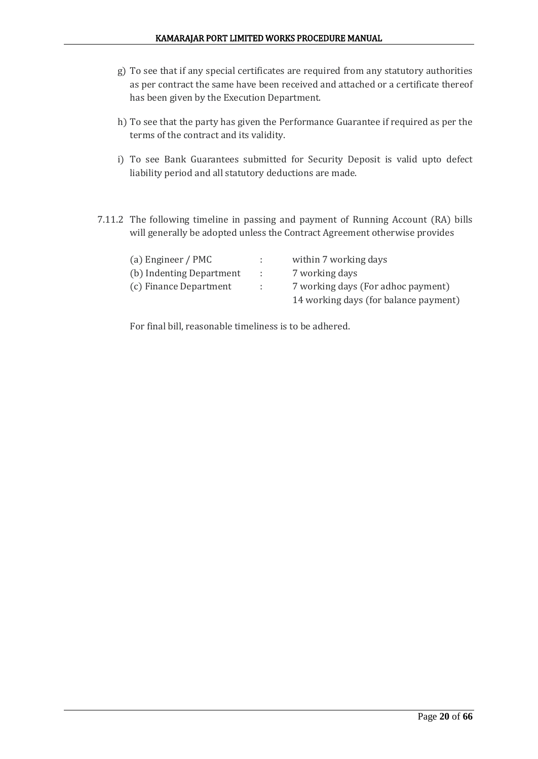- g) To see that if any special certificates are required from any statutory authorities as per contract the same have been received and attached or a certificate thereof has been given by the Execution Department.
- h) To see that the party has given the Performance Guarantee if required as per the terms of the contract and its validity.
- i) To see Bank Guarantees submitted for Security Deposit is valid upto defect liability period and all statutory deductions are made.
- 7.11.2 The following timeline in passing and payment of Running Account (RA) bills will generally be adopted unless the Contract Agreement otherwise provides

| (a) Engineer / PMC       |             | within 7 working days                 |
|--------------------------|-------------|---------------------------------------|
| (b) Indenting Department | in the con- | 7 working days                        |
| (c) Finance Department   | ÷.          | 7 working days (For adhoc payment)    |
|                          |             | 14 working days (for balance payment) |

For final bill, reasonable timeliness is to be adhered.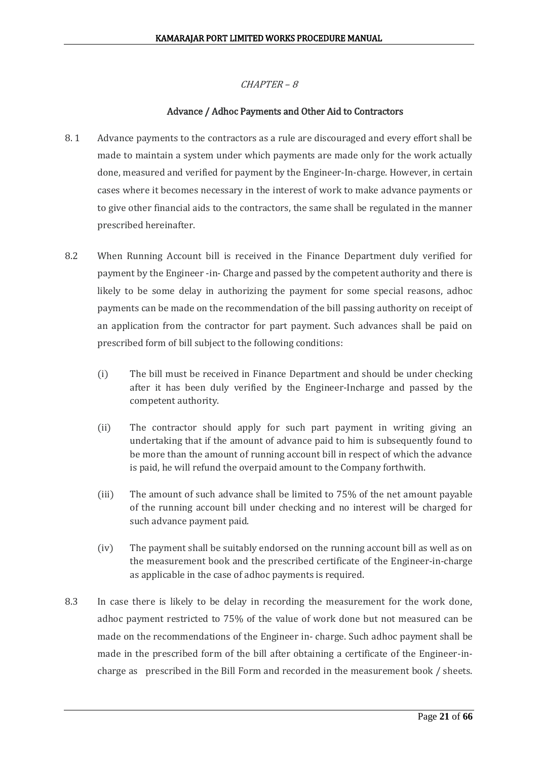## Advance / Adhoc Payments and Other Aid to Contractors

- 8.1 Advance payments to the contractors as a rule are discouraged and every effort shall be made to maintain a system under which payments are made only for the work actually done, measured and verified for payment by the Engineer-In-charge. However, in certain cases where it becomes necessary in the interest of work to make advance payments or to give other financial aids to the contractors, the same shall be regulated in the manner prescribed hereinafter.
- 8.2 When Running Account bill is received in the Finance Department duly verified for payment by the Engineer -in- Charge and passed by the competent authority and there is likely to be some delay in authorizing the payment for some special reasons, adhoc payments can be made on the recommendation of the bill passing authority on receipt of an application from the contractor for part payment. Such advances shall be paid on prescribed form of bill subject to the following conditions:
	- (i) The bill must be received in Finance Department and should be under checking after it has been duly verified by the Engineer-Incharge and passed by the competent authority.
	- (ii) The contractor should apply for such part payment in writing giving an undertaking that if the amount of advance paid to him is subsequently found to be more than the amount of running account bill in respect of which the advance is paid, he will refund the overpaid amount to the Company forthwith.
	- (iii) The amount of such advance shall be limited to 75% of the net amount payable of the running account bill under checking and no interest will be charged for such advance payment paid.
	- (iv) The payment shall be suitably endorsed on the running account bill as well as on the measurement book and the prescribed certificate of the Engineer-in-charge as applicable in the case of adhoc payments is required.
- 8.3 In case there is likely to be delay in recording the measurement for the work done, adhoc payment restricted to 75% of the value of work done but not measured can be made on the recommendations of the Engineer in- charge. Such adhoc payment shall be made in the prescribed form of the bill after obtaining a certificate of the Engineer-incharge as prescribed in the Bill Form and recorded in the measurement book / sheets.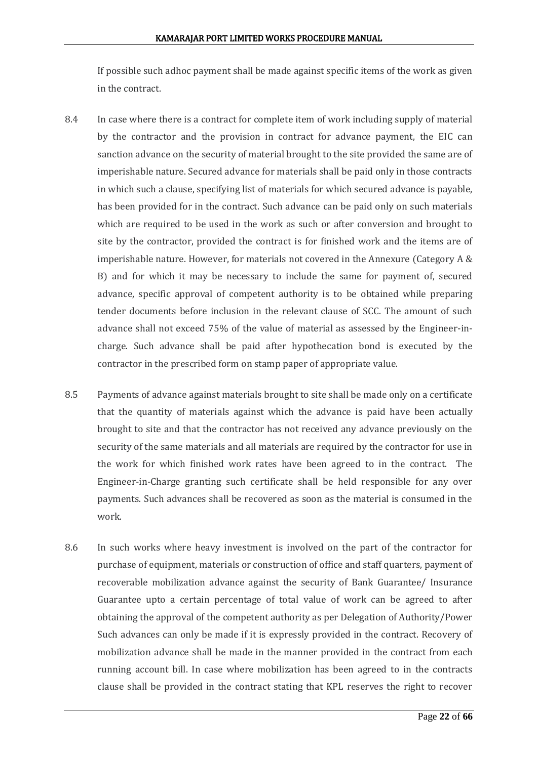If possible such adhoc payment shall be made against specific items of the work as given in the contract.

- 8.4 In case where there is a contract for complete item of work including supply of material by the contractor and the provision in contract for advance payment, the EIC can sanction advance on the security of material brought to the site provided the same are of imperishable nature. Secured advance for materials shall be paid only in those contracts in which such a clause, specifying list of materials for which secured advance is payable, has been provided for in the contract. Such advance can be paid only on such materials which are required to be used in the work as such or after conversion and brought to site by the contractor, provided the contract is for finished work and the items are of imperishable nature. However, for materials not covered in the Annexure (Category A & B) and for which it may be necessary to include the same for payment of, secured advance, specific approval of competent authority is to be obtained while preparing tender documents before inclusion in the relevant clause of SCC. The amount of such advance shall not exceed 75% of the value of material as assessed by the Engineer-incharge. Such advance shall be paid after hypothecation bond is executed by the contractor in the prescribed form on stamp paper of appropriate value.
- 8.5 Payments of advance against materials brought to site shall be made only on a certificate that the quantity of materials against which the advance is paid have been actually brought to site and that the contractor has not received any advance previously on the security of the same materials and all materials are required by the contractor for use in the work for which finished work rates have been agreed to in the contract. The Engineer-in-Charge granting such certificate shall be held responsible for any over payments. Such advances shall be recovered as soon as the material is consumed in the work.
- 8.6 In such works where heavy investment is involved on the part of the contractor for purchase of equipment, materials or construction of office and staff quarters, payment of recoverable mobilization advance against the security of Bank Guarantee/ Insurance Guarantee upto a certain percentage of total value of work can be agreed to after obtaining the approval of the competent authority as per Delegation of Authority/Power Such advances can only be made if it is expressly provided in the contract. Recovery of mobilization advance shall be made in the manner provided in the contract from each running account bill. In case where mobilization has been agreed to in the contracts clause shall be provided in the contract stating that KPL reserves the right to recover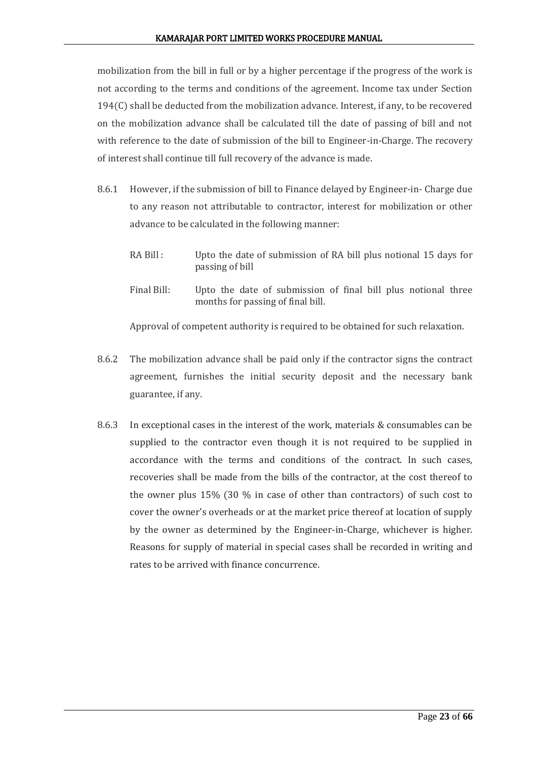mobilization from the bill in full or by a higher percentage if the progress of the work is not according to the terms and conditions of the agreement. Income tax under Section  $194(C)$  shall be deducted from the mobilization advance. Interest, if any, to be recovered on the mobilization advance shall be calculated till the date of passing of bill and not with reference to the date of submission of the bill to Engineer-in-Charge. The recovery of interest shall continue till full recovery of the advance is made.

- 8.6.1 However, if the submission of bill to Finance delayed by Engineer-in- Charge due to any reason not attributable to contractor, interest for mobilization or other advance to be calculated in the following manner:
	- RA Bill : Upto the date of submission of RA bill plus notional 15 days for passing of bill
	- Final Bill: Upto the date of submission of final bill plus notional three months for passing of final bill.

Approval of competent authority is required to be obtained for such relaxation.

- 8.6.2 The mobilization advance shall be paid only if the contractor signs the contract agreement, furnishes the initial security deposit and the necessary bank guarantee, if any.
- 8.6.3 In exceptional cases in the interest of the work, materials & consumables can be supplied to the contractor even though it is not required to be supplied in accordance with the terms and conditions of the contract. In such cases, recoveries shall be made from the bills of the contractor, at the cost thereof to the owner plus 15% (30 % in case of other than contractors) of such cost to cover the owner's overheads or at the market price thereof at location of supply by the owner as determined by the Engineer-in-Charge, whichever is higher. Reasons for supply of material in special cases shall be recorded in writing and rates to be arrived with finance concurrence.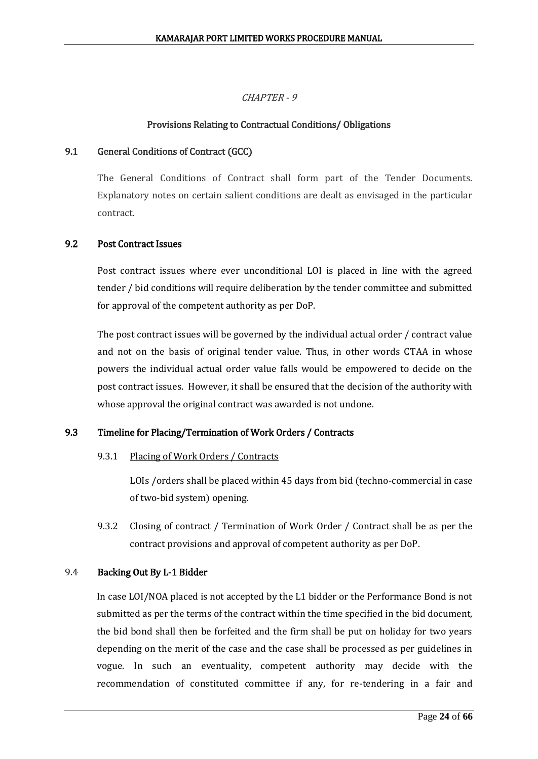## CHAPTER - 9

## Provisions Relating to Contractual Conditions/ Obligations

## 9.1 General Conditions of Contract (GCC)

The General Conditions of Contract shall form part of the Tender Documents. Explanatory notes on certain salient conditions are dealt as envisaged in the particular contract.

## 9.2 Post Contract Issues

Post contract issues where ever unconditional LOI is placed in line with the agreed tender / bid conditions will require deliberation by the tender committee and submitted for approval of the competent authority as per DoP.

The post contract issues will be governed by the individual actual order / contract value and not on the basis of original tender value. Thus, in other words CTAA in whose powers the individual actual order value falls would be empowered to decide on the post contract issues. However, it shall be ensured that the decision of the authority with whose approval the original contract was awarded is not undone.

## 9.3 Timeline for Placing/Termination of Work Orders / Contracts

## 9.3.1 Placing of Work Orders / Contracts

LOIs /orders shall be placed within 45 days from bid (techno-commercial in case of two-bid system) opening.

9.3.2 Closing of contract / Termination of Work Order / Contract shall be as per the contract provisions and approval of competent authority as per DoP.

## 9.4 Backing Out By L-1 Bidder

In case LOI/NOA placed is not accepted by the L1 bidder or the Performance Bond is not submitted as per the terms of the contract within the time specified in the bid document, the bid bond shall then be forfeited and the firm shall be put on holiday for two years depending on the merit of the case and the case shall be processed as per guidelines in vogue. In such an eventuality, competent authority may decide with the recommendation of constituted committee if any, for re-tendering in a fair and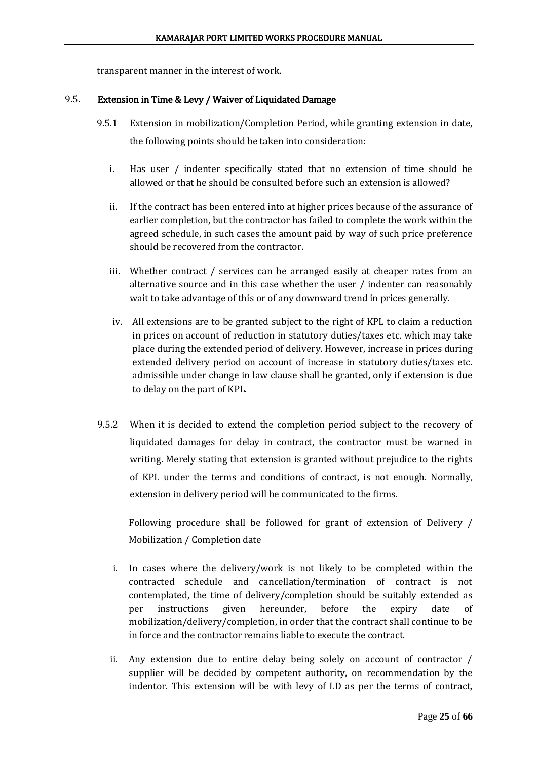transparent manner in the interest of work.

#### 9.5. Extension in Time & Levy / Waiver of Liquidated Damage

- 9.5.1 Extension in mobilization/Completion Period, while granting extension in date, the following points should be taken into consideration:
	- i. Has user / indenter specifically stated that no extension of time should be allowed or that he should be consulted before such an extension is allowed?
	- ii. If the contract has been entered into at higher prices because of the assurance of earlier completion, but the contractor has failed to complete the work within the agreed schedule, in such cases the amount paid by way of such price preference should be recovered from the contractor.
	- iii. Whether contract / services can be arranged easily at cheaper rates from an alternative source and in this case whether the user / indenter can reasonably wait to take advantage of this or of any downward trend in prices generally.
	- iv. All extensions are to be granted subject to the right of KPL to claim a reduction in prices on account of reduction in statutory duties/taxes etc. which may take place during the extended period of delivery. However, increase in prices during extended delivery period on account of increase in statutory duties/taxes etc. admissible under change in law clause shall be granted, only if extension is due to delay on the part of KPL.
- 9.5.2 When it is decided to extend the completion period subject to the recovery of liquidated damages for delay in contract, the contractor must be warned in writing. Merely stating that extension is granted without prejudice to the rights of KPL under the terms and conditions of contract, is not enough. Normally, extension in delivery period will be communicated to the firms.

Following procedure shall be followed for grant of extension of Delivery / Mobilization / Completion date

- i. In cases where the delivery/work is not likely to be completed within the contracted schedule and cancellation/termination of contract is not contemplated, the time of delivery/completion should be suitably extended as per instructions given hereunder, before the expiry date of mobilization/delivery/completion, in order that the contract shall continue to be in force and the contractor remains liable to execute the contract.
- ii. Any extension due to entire delay being solely on account of contractor / supplier will be decided by competent authority, on recommendation by the indentor. This extension will be with levy of LD as per the terms of contract,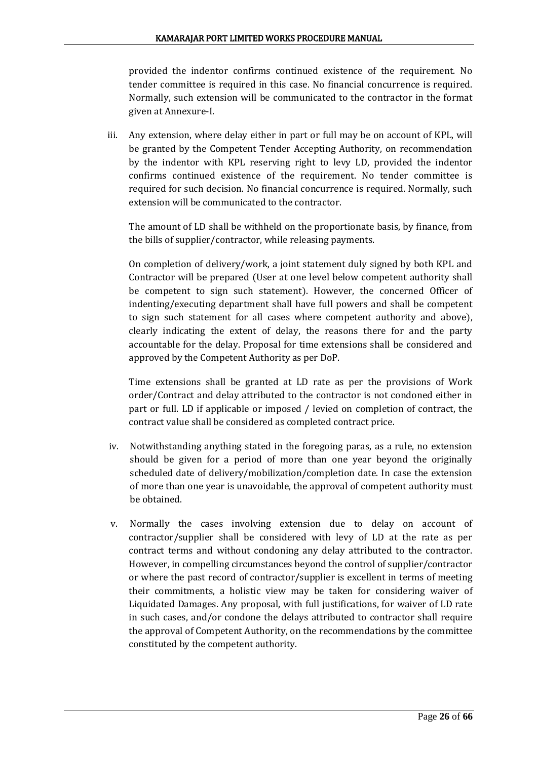provided the indentor confirms continued existence of the requirement. No tender committee is required in this case. No financial concurrence is required. Normally, such extension will be communicated to the contractor in the format given at Annexure-I.

iii. Any extension, where delay either in part or full may be on account of KPL, will be granted by the Competent Tender Accepting Authority, on recommendation by the indentor with KPL reserving right to levy LD, provided the indentor confirms continued existence of the requirement. No tender committee is required for such decision. No financial concurrence is required. Normally, such extension will be communicated to the contractor.

The amount of LD shall be withheld on the proportionate basis, by finance, from the bills of supplier/contractor, while releasing payments.

On completion of delivery/work, a joint statement duly signed by both KPL and Contractor will be prepared (User at one level below competent authority shall be competent to sign such statement). However, the concerned Officer of indenting/executing department shall have full powers and shall be competent to sign such statement for all cases where competent authority and above), clearly indicating the extent of delay, the reasons there for and the party accountable for the delay. Proposal for time extensions shall be considered and approved by the Competent Authority as per DoP.

Time extensions shall be granted at LD rate as per the provisions of Work order/Contract and delay attributed to the contractor is not condoned either in part or full. LD if applicable or imposed / levied on completion of contract, the contract value shall be considered as completed contract price.

- iv. Notwithstanding anything stated in the foregoing paras, as a rule, no extension should be given for a period of more than one year beyond the originally scheduled date of delivery/mobilization/completion date. In case the extension of more than one year is unavoidable, the approval of competent authority must be obtained.
- v. Normally the cases involving extension due to delay on account of contractor/supplier shall be considered with levy of LD at the rate as per contract terms and without condoning any delay attributed to the contractor. However, in compelling circumstances beyond the control of supplier/contractor or where the past record of contractor/supplier is excellent in terms of meeting their commitments, a holistic view may be taken for considering waiver of Liquidated Damages. Any proposal, with full justifications, for waiver of LD rate in such cases, and/or condone the delays attributed to contractor shall require the approval of Competent Authority, on the recommendations by the committee constituted by the competent authority.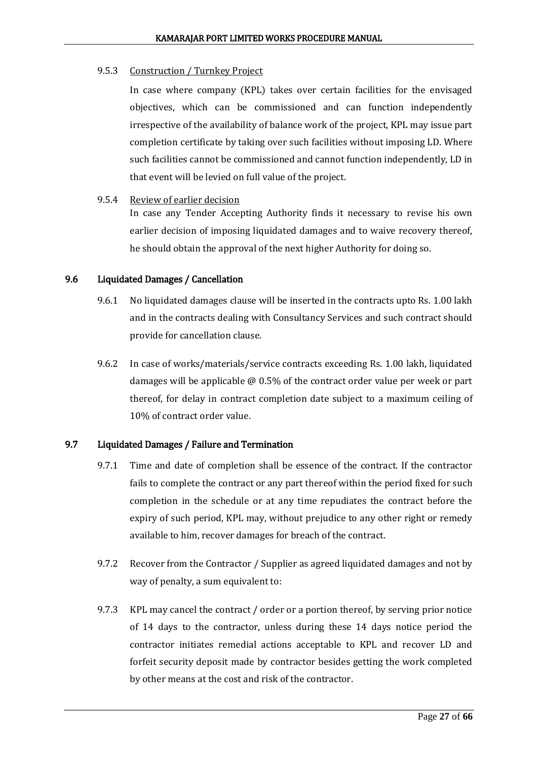## 9.5.3 Construction / Turnkey Project

In case where company (KPL) takes over certain facilities for the envisaged objectives, which can be commissioned and can function independently irrespective of the availability of balance work of the project, KPL may issue part completion certificate by taking over such facilities without imposing LD. Where such facilities cannot be commissioned and cannot function independently, LD in that event will be levied on full value of the project.

## 9.5.4 Review of earlier decision

In case any Tender Accepting Authority finds it necessary to revise his own earlier decision of imposing liquidated damages and to waive recovery thereof, he should obtain the approval of the next higher Authority for doing so.

## 9.6 Liquidated Damages / Cancellation

- 9.6.1 No liquidated damages clause will be inserted in the contracts upto Rs. 1.00 lakh and in the contracts dealing with Consultancy Services and such contract should provide for cancellation clause.
- 9.6.2 In case of works/materials/service contracts exceeding Rs. 1.00 lakh, liquidated damages will be applicable @ 0.5% of the contract order value per week or part thereof, for delay in contract completion date subject to a maximum ceiling of 10% of contract order value.

## 9.7 Liquidated Damages / Failure and Termination

- 9.7.1 Time and date of completion shall be essence of the contract. If the contractor fails to complete the contract or any part thereof within the period fixed for such completion in the schedule or at any time repudiates the contract before the expiry of such period, KPL may, without prejudice to any other right or remedy available to him, recover damages for breach of the contract.
- 9.7.2 Recover from the Contractor / Supplier as agreed liquidated damages and not by way of penalty, a sum equivalent to:
- 9.7.3 KPL may cancel the contract / order or a portion thereof, by serving prior notice of 14 days to the contractor, unless during these 14 days notice period the contractor initiates remedial actions acceptable to KPL and recover LD and forfeit security deposit made by contractor besides getting the work completed by other means at the cost and risk of the contractor.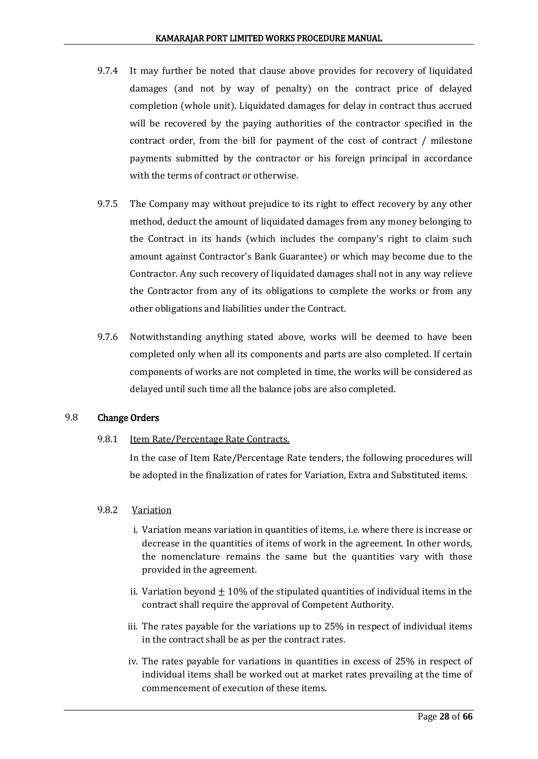- 9.7.4 It may further be noted that clause above provides for recovery of liquidated damages (and not by way of penalty) on the contract price of delayed completion (whole unit). Liquidated damages for delay in contract thus accrued will be recovered by the paying authorities of the contractor specified in the contract order, from the bill for payment of the cost of contract / milestone payments submitted by the contractor or his foreign principal in accordance with the terms of contract or otherwise.
- 9.7.5 The Company may without prejudice to its right to effect recovery by any other method, deduct the amount of liquidated damages from any money belonging to the Contract in its hands (which includes the company's right to claim such amount against Contractor's Bank Guarantee) or which may become due to the Contractor. Any such recovery of liquidated damages shall not in any way relieve the Contractor from any of its obligations to complete the works or from any other obligations and liabilities under the Contract.
- 9.7.6 Notwithstanding anything stated above, works will be deemed to have been completed only when all its components and parts are also completed. If certain components of works are not completed in time, the works will be considered as delayed until such time all the balance jobs are also completed.

## 9.8 Change Orders

9.8.1 Item Rate/Percentage Rate Contracts.

In the case of Item Rate/Percentage Rate tenders, the following procedures will be adopted in the finalization of rates for Variation, Extra and Substituted items.

## 9.8.2 Variation

- i. Variation means variation in quantities of items, i.e. where there is increase or decrease in the quantities of items of work in the agreement. In other words, the nomenclature remains the same but the quantities vary with those provided in the agreement.
- ii. Variation beyond  $\pm 10\%$  of the stipulated quantities of individual items in the contract shall require the approval of Competent Authority.
- iii. The rates payable for the variations up to 25% in respect of individual items in the contract shall be as per the contract rates.
- iv. The rates payable for variations in quantities in excess of 25% in respect of individual items shall be worked out at market rates prevailing at the time of commencement of execution of these items.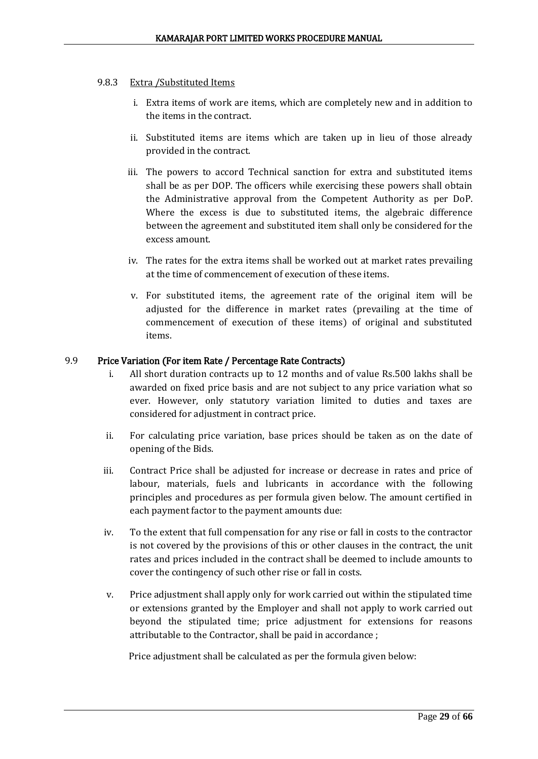## 9.8.3 Extra /Substituted Items

- i. Extra items of work are items, which are completely new and in addition to the items in the contract.
- ii. Substituted items are items which are taken up in lieu of those already provided in the contract.
- iii. The powers to accord Technical sanction for extra and substituted items shall be as per DOP. The officers while exercising these powers shall obtain the Administrative approval from the Competent Authority as per DoP. Where the excess is due to substituted items, the algebraic difference between the agreement and substituted item shall only be considered for the excess amount.
- iv. The rates for the extra items shall be worked out at market rates prevailing at the time of commencement of execution of these items.
- v. For substituted items, the agreement rate of the original item will be adjusted for the difference in market rates (prevailing at the time of commencement of execution of these items) of original and substituted items.

## 9.9 Price Variation (For item Rate / Percentage Rate Contracts)

- i. All short duration contracts up to 12 months and of value Rs.500 lakhs shall be awarded on fixed price basis and are not subject to any price variation what so ever. However, only statutory variation limited to duties and taxes are considered for adjustment in contract price.
- ii. For calculating price variation, base prices should be taken as on the date of opening of the Bids.
- iii. Contract Price shall be adjusted for increase or decrease in rates and price of labour, materials, fuels and lubricants in accordance with the following principles and procedures as per formula given below. The amount certified in each payment factor to the payment amounts due:
- iv. To the extent that full compensation for any rise or fall in costs to the contractor is not covered by the provisions of this or other clauses in the contract, the unit rates and prices included in the contract shall be deemed to include amounts to cover the contingency of such other rise or fall in costs.
- v. Price adjustment shall apply only for work carried out within the stipulated time or extensions granted by the Employer and shall not apply to work carried out beyond the stipulated time; price adjustment for extensions for reasons attributable to the Contractor, shall be paid in accordance ;

Price adjustment shall be calculated as per the formula given below: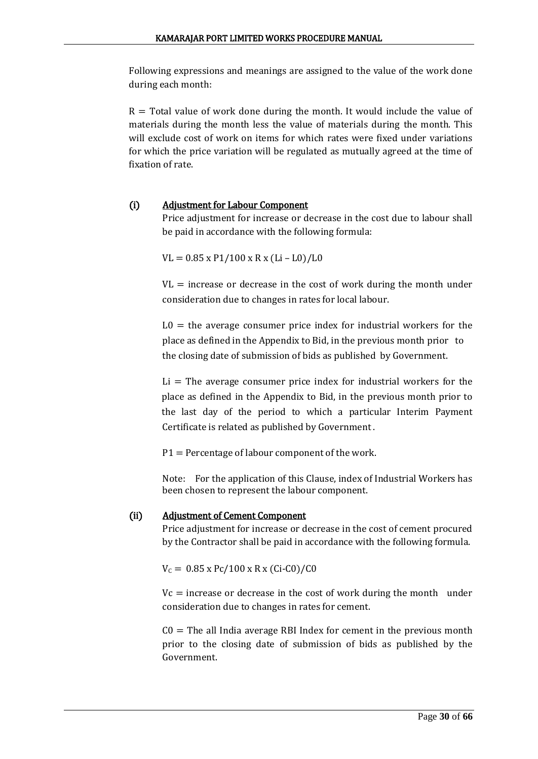Following expressions and meanings are assigned to the value of the work done during each month:

 $R =$  Total value of work done during the month. It would include the value of materials during the month less the value of materials during the month. This will exclude cost of work on items for which rates were fixed under variations for which the price variation will be regulated as mutually agreed at the time of fixation of rate.

## (i) Adjustment for Labour Component

Price adjustment for increase or decrease in the cost due to labour shall be paid in accordance with the following formula:

 $VL = 0.85 \times P1/100 \times R \times (Li - L0)/L0$ 

 $VL$  = increase or decrease in the cost of work during the month under consideration due to changes in rates for local labour.

 $L0 =$  the average consumer price index for industrial workers for the place as defined in the Appendix to Bid, in the previous month prior to the closing date of submission of bids as published by Government.

 $Li = The average consumer price index for industrial workers for the$ place as defined in the Appendix to Bid, in the previous month prior to the last day of the period to which a particular Interim Payment Certificate is related as published by Government .

P1 = Percentage of labour component of the work.

Note: For the application of this Clause, index of Industrial Workers has been chosen to represent the labour component.

## (ii) Adjustment of Cement Component

Price adjustment for increase or decrease in the cost of cement procured by the Contractor shall be paid in accordance with the following formula.

 $V_c = 0.85$  x Pc/100 x R x (Ci-C0)/C0

 $Vc$  = increase or decrease in the cost of work during the month under consideration due to changes in rates for cement.

 $CO =$  The all India average RBI Index for cement in the previous month prior to the closing date of submission of bids as published by the Government.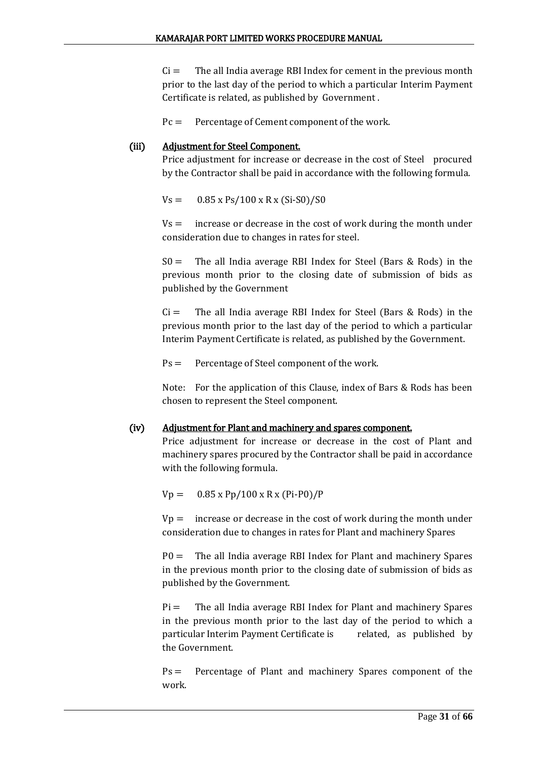$Ci =$  The all India average RBI Index for cement in the previous month prior to the last day of the period to which a particular Interim Payment Certificate is related, as published by Government .

Pc = Percentage of Cement component of the work.

## (iii) Adjustment for Steel Component.

Price adjustment for increase or decrease in the cost of Steel procured by the Contractor shall be paid in accordance with the following formula.

 $Vs = 0.85 \times Ps/100 \times Rx (Si-S0)/S0$ 

 $Vs =$  increase or decrease in the cost of work during the month under consideration due to changes in rates for steel.

 $S0 =$  The all India average RBI Index for Steel (Bars & Rods) in the previous month prior to the closing date of submission of bids as published by the Government

 $Ci =$  The all India average RBI Index for Steel (Bars & Rods) in the previous month prior to the last day of the period to which a particular Interim Payment Certificate is related, as published by the Government.

Ps = Percentage of Steel component of the work.

Note: For the application of this Clause, index of Bars & Rods has been chosen to represent the Steel component.

## (iv) Adjustment for Plant and machinery and spares component.

Price adjustment for increase or decrease in the cost of Plant and machinery spares procured by the Contractor shall be paid in accordance with the following formula.

 $Vp = 0.85 \times Pp/100 \times R \times (Pi-P0)/P$ 

 $Vp =$  increase or decrease in the cost of work during the month under consideration due to changes in rates for Plant and machinery Spares

 $P0 =$  The all India average RBI Index for Plant and machinery Spares in the previous month prior to the closing date of submission of bids as published by the Government.

 $Pi =$  The all India average RBI Index for Plant and machinery Spares in the previous month prior to the last day of the period to which a particular Interim Payment Certificate is related, as published by the Government.

Ps = Percentage of Plant and machinery Spares component of the work.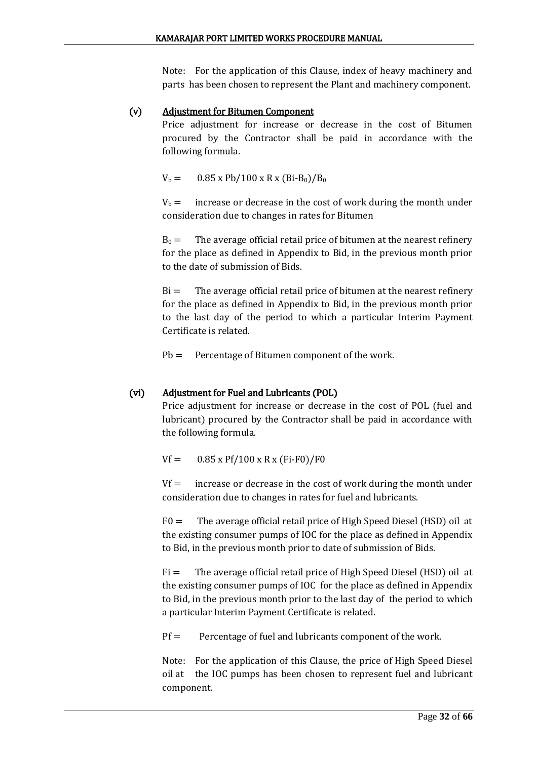Note: For the application of this Clause, index of heavy machinery and parts has been chosen to represent the Plant and machinery component.

## (v) Adjustment for Bitumen Component

Price adjustment for increase or decrease in the cost of Bitumen procured by the Contractor shall be paid in accordance with the following formula.

 $V_b = 0.85 \times Pb/100 \times R \times (Bi-B_0)/B_0$ 

 $V_b$  = increase or decrease in the cost of work during the month under consideration due to changes in rates for Bitumen

 $B_0 =$  The average official retail price of bitumen at the nearest refinery for the place as defined in Appendix to Bid, in the previous month prior to the date of submission of Bids.

 $Bi =$  The average official retail price of bitumen at the nearest refinery for the place as defined in Appendix to Bid, in the previous month prior to the last day of the period to which a particular Interim Payment Certificate is related.

Pb = Percentage of Bitumen component of the work.

## (vi) Adjustment for Fuel and Lubricants (POL)

Price adjustment for increase or decrease in the cost of POL (fuel and lubricant) procured by the Contractor shall be paid in accordance with the following formula.

 $Vf = 0.85 \times Pf/100 \times R \times (Fi-F0)/F0$ 

 $Vf =$  increase or decrease in the cost of work during the month under consideration due to changes in rates for fuel and lubricants.

 $F0 =$  The average official retail price of High Speed Diesel (HSD) oil at the existing consumer pumps of IOC for the place as defined in Appendix to Bid, in the previous month prior to date of submission of Bids.

 $Fi =$  The average official retail price of High Speed Diesel (HSD) oil at the existing consumer pumps of IOC for the place as defined in Appendix to Bid, in the previous month prior to the last day of the period to which a particular Interim Payment Certificate is related.

 $Pf =$  Percentage of fuel and lubricants component of the work.

Note: For the application of this Clause, the price of High Speed Diesel oil at the IOC pumps has been chosen to represent fuel and lubricant component.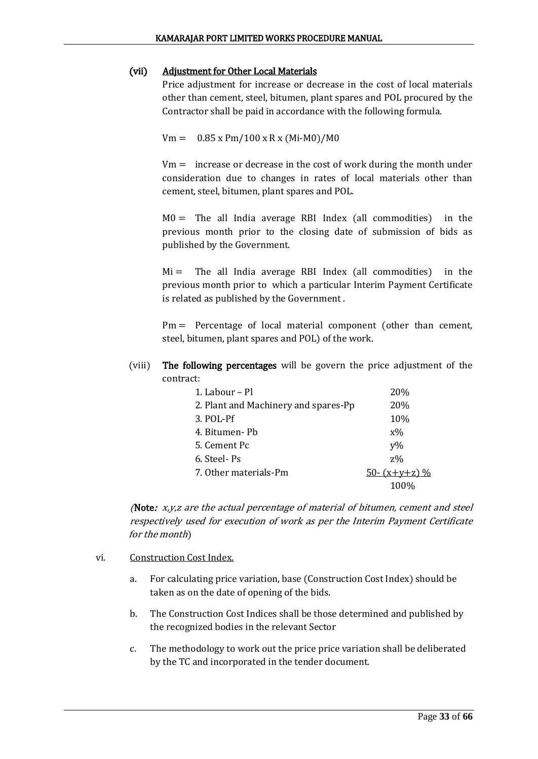## (vii) Adjustment for Other Local Materials

Price adjustment for increase or decrease in the cost of local materials other than cement, steel, bitumen, plant spares and POL procured by the Contractor shall be paid in accordance with the following formula.

 $Vm = 0.85 \times Pm/100 \times R \times (Mi-M0)/M0$ 

 $Vm =$  increase or decrease in the cost of work during the month under consideration due to changes in rates of local materials other than cement, steel, bitumen, plant spares and POL.

 $MO =$  The all India average RBI Index (all commodities) in the previous month prior to the closing date of submission of bids as published by the Government.

 $Mi =$  The all India average RBI Index (all commodities) in the previous month prior to which a particular Interim Payment Certificate is related as published by the Government .

Pm = Percentage of local material component (other than cement, steel, bitumen, plant spares and POL) of the work.

(viii) The following percentages will be govern the price adjustment of the contract:

| 1. Labour – Pl                       | 20%             |
|--------------------------------------|-----------------|
| 2. Plant and Machinery and spares-Pp | 20%             |
| 3. POL-Pf                            | 10%             |
| 4. Bitumen- Pb                       | $X\%$           |
| 5. Cement Pc                         | $V\%$           |
| 6. Steel-Ps                          | $z\%$           |
| 7. Other materials-Pm                | 50- $(x+y+z)$ % |
|                                      | 100%            |

(Note:  $x, y, z$  are the actual percentage of material of bitumen, cement and steel respectively used for execution of work as per the Interim Payment Certificate for the month)

- vi. Construction Cost Index.
	- a. For calculating price variation, base (Construction Cost Index) should be taken as on the date of opening of the bids.
	- b. The Construction Cost Indices shall be those determined and published by the recognized bodies in the relevant Sector
	- c. The methodology to work out the price price variation shall be deliberated by the TC and incorporated in the tender document.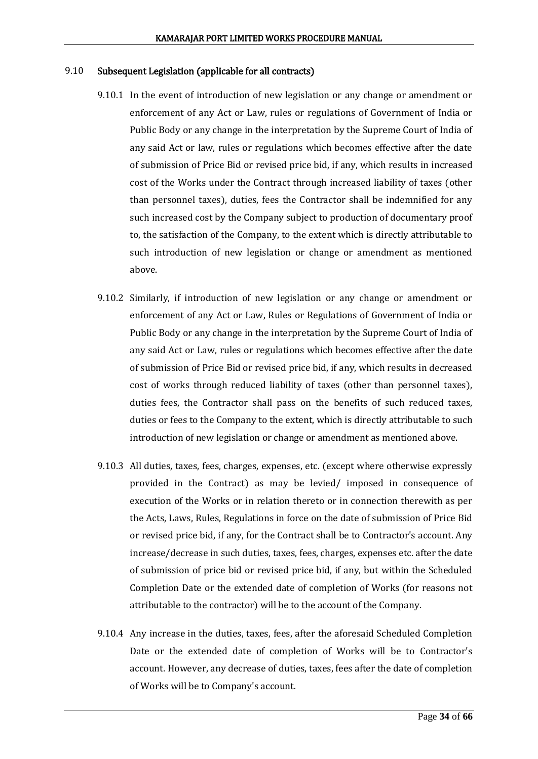#### 9.10 Subsequent Legislation (applicable for all contracts)

- 9.10.1 In the event of introduction of new legislation or any change or amendment or enforcement of any Act or Law, rules or regulations of Government of India or Public Body or any change in the interpretation by the Supreme Court of India of any said Act or law, rules or regulations which becomes effective after the date of submission of Price Bid or revised price bid, if any, which results in increased cost of the Works under the Contract through increased liability of taxes (other than personnel taxes), duties, fees the Contractor shall be indemnified for any such increased cost by the Company subject to production of documentary proof to, the satisfaction of the Company, to the extent which is directly attributable to such introduction of new legislation or change or amendment as mentioned above.
- 9.10.2 Similarly, if introduction of new legislation or any change or amendment or enforcement of any Act or Law, Rules or Regulations of Government of India or Public Body or any change in the interpretation by the Supreme Court of India of any said Act or Law, rules or regulations which becomes effective after the date of submission of Price Bid or revised price bid, if any, which results in decreased cost of works through reduced liability of taxes (other than personnel taxes), duties fees, the Contractor shall pass on the benefits of such reduced taxes, duties or fees to the Company to the extent, which is directly attributable to such introduction of new legislation or change or amendment as mentioned above.
- 9.10.3 All duties, taxes, fees, charges, expenses, etc. (except where otherwise expressly provided in the Contract) as may be levied/ imposed in consequence of execution of the Works or in relation thereto or in connection therewith as per the Acts, Laws, Rules, Regulations in force on the date of submission of Price Bid or revised price bid, if any, for the Contract shall be to Contractor's account. Any increase/decrease in such duties, taxes, fees, charges, expenses etc. after the date of submission of price bid or revised price bid, if any, but within the Scheduled Completion Date or the extended date of completion of Works (for reasons not attributable to the contractor) will be to the account of the Company.
- 9.10.4 Any increase in the duties, taxes, fees, after the aforesaid Scheduled Completion Date or the extended date of completion of Works will be to Contractor's account. However, any decrease of duties, taxes, fees after the date of completion of Works will be to Company's account.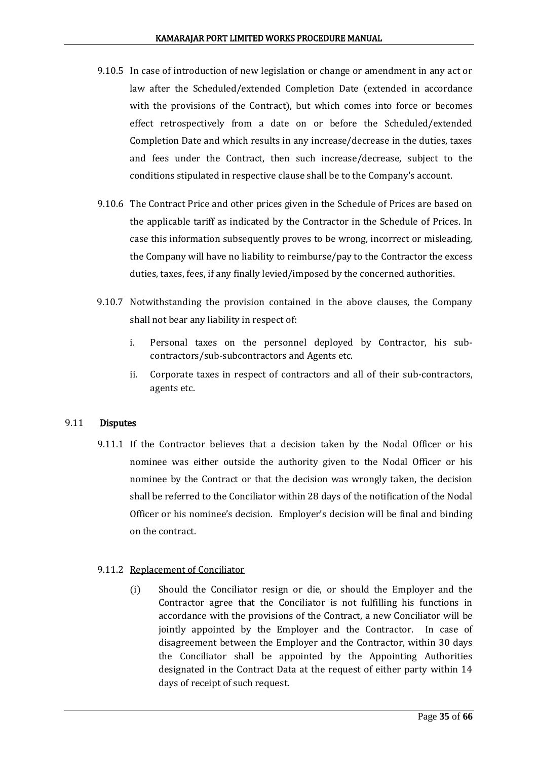- 9.10.5 In case of introduction of new legislation or change or amendment in any act or law after the Scheduled/extended Completion Date (extended in accordance with the provisions of the Contract), but which comes into force or becomes effect retrospectively from a date on or before the Scheduled/extended Completion Date and which results in any increase/decrease in the duties, taxes and fees under the Contract, then such increase/decrease, subject to the conditions stipulated in respective clause shall be to the Company's account.
- 9.10.6 The Contract Price and other prices given in the Schedule of Prices are based on the applicable tariff as indicated by the Contractor in the Schedule of Prices. In case this information subsequently proves to be wrong, incorrect or misleading, the Company will have no liability to reimburse/pay to the Contractor the excess duties, taxes, fees, if any finally levied/imposed by the concerned authorities.
- 9.10.7 Notwithstanding the provision contained in the above clauses, the Company shall not bear any liability in respect of:
	- i. Personal taxes on the personnel deployed by Contractor, his subcontractors/sub-subcontractors and Agents etc.
	- ii. Corporate taxes in respect of contractors and all of their sub-contractors, agents etc.

## 9.11 Disputes

9.11.1 If the Contractor believes that a decision taken by the Nodal Officer or his nominee was either outside the authority given to the Nodal Officer or his nominee by the Contract or that the decision was wrongly taken, the decision shall be referred to the Conciliator within 28 days of the notification of the Nodal Officer or his nominee's decision. Employer's decision will be final and binding on the contract.

## 9.11.2 Replacement of Conciliator

(i) Should the Conciliator resign or die, or should the Employer and the Contractor agree that the Conciliator is not fulfilling his functions in accordance with the provisions of the Contract, a new Conciliator will be jointly appointed by the Employer and the Contractor. In case of disagreement between the Employer and the Contractor, within 30 days the Conciliator shall be appointed by the Appointing Authorities designated in the Contract Data at the request of either party within 14 days of receipt of such request.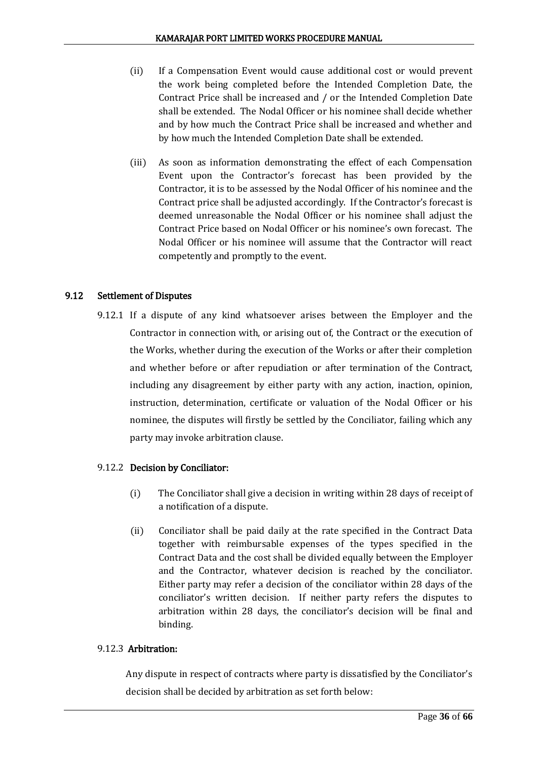- (ii) If a Compensation Event would cause additional cost or would prevent the work being completed before the Intended Completion Date, the Contract Price shall be increased and / or the Intended Completion Date shall be extended. The Nodal Officer or his nominee shall decide whether and by how much the Contract Price shall be increased and whether and by how much the Intended Completion Date shall be extended.
- (iii) As soon as information demonstrating the effect of each Compensation Event upon the Contractor's forecast has been provided by the Contractor, it is to be assessed by the Nodal Officer of his nominee and the Contract price shall be adjusted accordingly. If the Contractor's forecast is deemed unreasonable the Nodal Officer or his nominee shall adjust the Contract Price based on Nodal Officer or his nominee's own forecast. The Nodal Officer or his nominee will assume that the Contractor will react competently and promptly to the event.

## 9.12 Settlement of Disputes

9.12.1 If a dispute of any kind whatsoever arises between the Employer and the Contractor in connection with, or arising out of, the Contract or the execution of the Works, whether during the execution of the Works or after their completion and whether before or after repudiation or after termination of the Contract, including any disagreement by either party with any action, inaction, opinion, instruction, determination, certificate or valuation of the Nodal Officer or his nominee, the disputes will firstly be settled by the Conciliator, failing which any party may invoke arbitration clause.

## 9.12.2 Decision by Conciliator:

- (i) The Conciliator shall give a decision in writing within 28 days of receipt of a notification of a dispute.
- (ii) Conciliator shall be paid daily at the rate specified in the Contract Data together with reimbursable expenses of the types specified in the Contract Data and the cost shall be divided equally between the Employer and the Contractor, whatever decision is reached by the conciliator. Either party may refer a decision of the conciliator within 28 days of the conciliator's written decision. If neither party refers the disputes to arbitration within 28 days, the conciliator's decision will be final and binding.

## 9.12.3 Arbitration:

Any dispute in respect of contracts where party is dissatisfied by the Conciliator's decision shall be decided by arbitration as set forth below: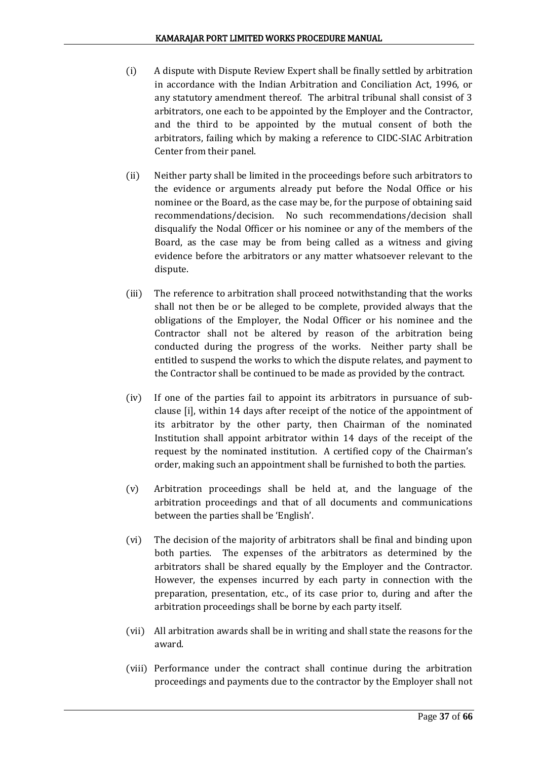- (i) A dispute with Dispute Review Expert shall be finally settled by arbitration in accordance with the Indian Arbitration and Conciliation Act, 1996, or any statutory amendment thereof. The arbitral tribunal shall consist of 3 arbitrators, one each to be appointed by the Employer and the Contractor, and the third to be appointed by the mutual consent of both the arbitrators, failing which by making a reference to CIDC-SIAC Arbitration Center from their panel.
- (ii) Neither party shall be limited in the proceedings before such arbitrators to the evidence or arguments already put before the Nodal Office or his nominee or the Board, as the case may be, for the purpose of obtaining said recommendations/decision. No such recommendations/decision shall disqualify the Nodal Officer or his nominee or any of the members of the Board, as the case may be from being called as a witness and giving evidence before the arbitrators or any matter whatsoever relevant to the dispute.
- (iii) The reference to arbitration shall proceed notwithstanding that the works shall not then be or be alleged to be complete, provided always that the obligations of the Employer, the Nodal Officer or his nominee and the Contractor shall not be altered by reason of the arbitration being conducted during the progress of the works. Neither party shall be entitled to suspend the works to which the dispute relates, and payment to the Contractor shall be continued to be made as provided by the contract.
- (iv) If one of the parties fail to appoint its arbitrators in pursuance of subclause [i], within 14 days after receipt of the notice of the appointment of its arbitrator by the other party, then Chairman of the nominated Institution shall appoint arbitrator within 14 days of the receipt of the request by the nominated institution. A certified copy of the Chairman's order, making such an appointment shall be furnished to both the parties.
- (v) Arbitration proceedings shall be held at, and the language of the arbitration proceedings and that of all documents and communications between the parties shall be 'English'.
- (vi) The decision of the majority of arbitrators shall be final and binding upon both parties. The expenses of the arbitrators as determined by the arbitrators shall be shared equally by the Employer and the Contractor. However, the expenses incurred by each party in connection with the preparation, presentation, etc., of its case prior to, during and after the arbitration proceedings shall be borne by each party itself.
- (vii) All arbitration awards shall be in writing and shall state the reasons for the award.
- (viii) Performance under the contract shall continue during the arbitration proceedings and payments due to the contractor by the Employer shall not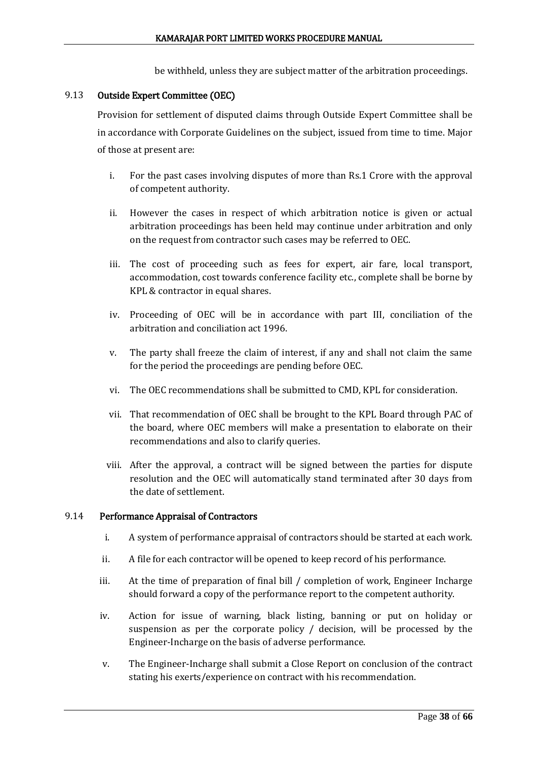be withheld, unless they are subject matter of the arbitration proceedings.

#### 9.13 Outside Expert Committee (OEC)

Provision for settlement of disputed claims through Outside Expert Committee shall be in accordance with Corporate Guidelines on the subject, issued from time to time. Major of those at present are:

- i. For the past cases involving disputes of more than Rs.1 Crore with the approval of competent authority.
- ii. However the cases in respect of which arbitration notice is given or actual arbitration proceedings has been held may continue under arbitration and only on the request from contractor such cases may be referred to OEC.
- iii. The cost of proceeding such as fees for expert, air fare, local transport, accommodation, cost towards conference facility etc., complete shall be borne by KPL & contractor in equal shares.
- iv. Proceeding of OEC will be in accordance with part III, conciliation of the arbitration and conciliation act 1996.
- v. The party shall freeze the claim of interest, if any and shall not claim the same for the period the proceedings are pending before OEC.
- vi. The OEC recommendations shall be submitted to CMD, KPL for consideration.
- vii. That recommendation of OEC shall be brought to the KPL Board through PAC of the board, where OEC members will make a presentation to elaborate on their recommendations and also to clarify queries.
- viii. After the approval, a contract will be signed between the parties for dispute resolution and the OEC will automatically stand terminated after 30 days from the date of settlement.

#### 9.14 Performance Appraisal of Contractors

- i. A system of performance appraisal of contractors should be started at each work.
- ii. A file for each contractor will be opened to keep record of his performance.
- iii. At the time of preparation of final bill / completion of work, Engineer Incharge should forward a copy of the performance report to the competent authority.
- iv. Action for issue of warning, black listing, banning or put on holiday or suspension as per the corporate policy / decision, will be processed by the Engineer-Incharge on the basis of adverse performance.
- v. The Engineer-Incharge shall submit a Close Report on conclusion of the contract stating his exerts/experience on contract with his recommendation.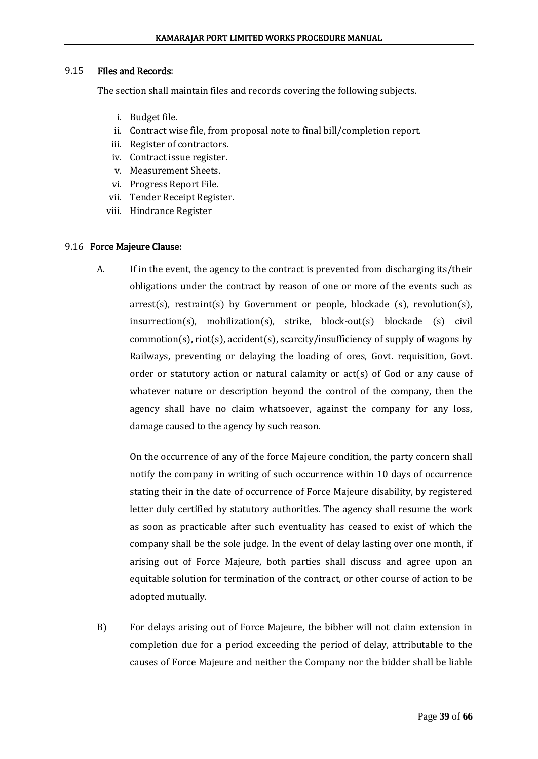#### 9.15 Files and Records:

The section shall maintain files and records covering the following subjects.

- i. Budget file.
- ii. Contract wise file, from proposal note to final bill/completion report.
- iii. Register of contractors.
- iv. Contract issue register.
- v. Measurement Sheets.
- vi. Progress Report File.
- vii. Tender Receipt Register.
- viii. Hindrance Register

#### 9.16 Force Majeure Clause:

A. If in the event, the agency to the contract is prevented from discharging its/their obligations under the contract by reason of one or more of the events such as arrest(s), restraint(s) by Government or people, blockade (s), revolution(s),  $incurrention(s)$ , mobilization(s), strike, block-out(s) blockade (s) civil  $common(s)$ ,  $riot(s)$ ,  $accident(s)$ ,  $scarcity/insufficientcy$  of supply of wagons by Railways, preventing or delaying the loading of ores, Govt. requisition, Govt. order or statutory action or natural calamity or  $act(s)$  of God or any cause of whatever nature or description beyond the control of the company, then the agency shall have no claim whatsoever, against the company for any loss, damage caused to the agency by such reason.

On the occurrence of any of the force Majeure condition, the party concern shall notify the company in writing of such occurrence within 10 days of occurrence stating their in the date of occurrence of Force Majeure disability, by registered letter duly certified by statutory authorities. The agency shall resume the work as soon as practicable after such eventuality has ceased to exist of which the company shall be the sole judge. In the event of delay lasting over one month, if arising out of Force Majeure, both parties shall discuss and agree upon an equitable solution for termination of the contract, or other course of action to be adopted mutually.

B) For delays arising out of Force Majeure, the bibber will not claim extension in completion due for a period exceeding the period of delay, attributable to the causes of Force Majeure and neither the Company nor the bidder shall be liable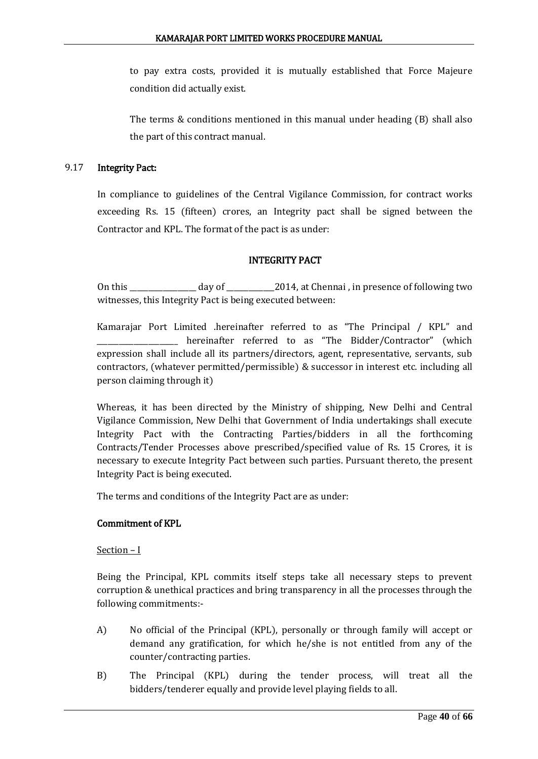to pay extra costs, provided it is mutually established that Force Majeure condition did actually exist.

The terms & conditions mentioned in this manual under heading (B) shall also the part of this contract manual.

## 9.17 Integrity Pact:

In compliance to guidelines of the Central Vigilance Commission, for contract works exceeding Rs. 15 (fifteen) crores, an Integrity pact shall be signed between the Contractor and KPL. The format of the pact is as under:

## INTEGRITY PACT

On this \_\_\_\_\_\_\_\_\_\_\_\_\_\_\_\_\_\_ day of \_\_\_\_\_\_\_\_\_\_\_\_\_2014, at Chennai , in presence of following two witnesses, this Integrity Pact is being executed between:

Kamarajar Port Limited .hereinafter referred to as "The Principal / KPL" and hereinafter referred to as "The Bidder/Contractor" (which expression shall include all its partners/directors, agent, representative, servants, sub contractors, (whatever permitted/permissible) & successor in interest etc. including all person claiming through it)

Whereas, it has been directed by the Ministry of shipping, New Delhi and Central Vigilance Commission, New Delhi that Government of India undertakings shall execute Integrity Pact with the Contracting Parties/bidders in all the forthcoming Contracts/Tender Processes above prescribed/specified value of Rs. 15 Crores, it is necessary to execute Integrity Pact between such parties. Pursuant thereto, the present Integrity Pact is being executed.

The terms and conditions of the Integrity Pact are as under:

## Commitment of KPL

Section – I

Being the Principal, KPL commits itself steps take all necessary steps to prevent corruption & unethical practices and bring transparency in all the processes through the following commitments:-

- A) No official of the Principal (KPL), personally or through family will accept or demand any gratification, for which he/she is not entitled from any of the counter/contracting parties.
- B) The Principal (KPL) during the tender process, will treat all the bidders/tenderer equally and provide level playing fields to all.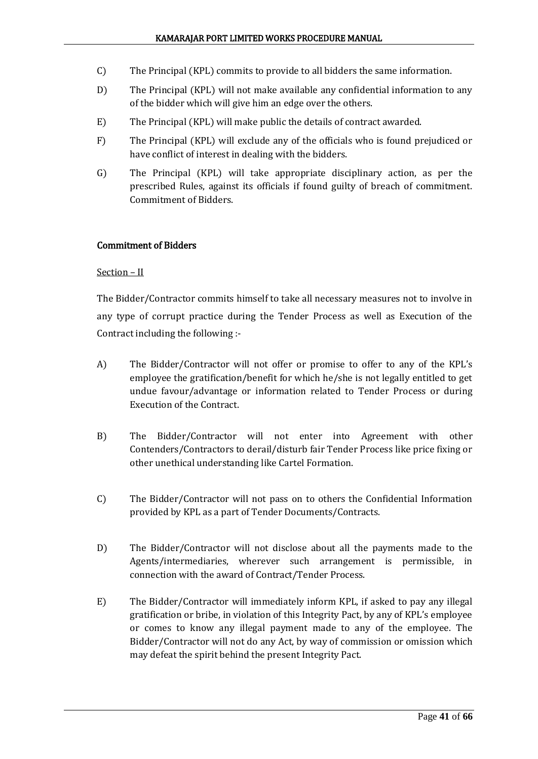- C) The Principal (KPL) commits to provide to all bidders the same information.
- D) The Principal (KPL) will not make available any confidential information to any of the bidder which will give him an edge over the others.
- E) The Principal (KPL) will make public the details of contract awarded.
- F) The Principal (KPL) will exclude any of the officials who is found prejudiced or have conflict of interest in dealing with the bidders.
- G) The Principal (KPL) will take appropriate disciplinary action, as per the prescribed Rules, against its officials if found guilty of breach of commitment. Commitment of Bidders.

#### Commitment of Bidders

#### Section – II

The Bidder/Contractor commits himself to take all necessary measures not to involve in any type of corrupt practice during the Tender Process as well as Execution of the Contract including the following :-

- A) The Bidder/Contractor will not offer or promise to offer to any of the KPL's employee the gratification/benefit for which he/she is not legally entitled to get undue favour/advantage or information related to Tender Process or during Execution of the Contract.
- B) The Bidder/Contractor will not enter into Agreement with other Contenders/Contractors to derail/disturb fair Tender Process like price fixing or other unethical understanding like Cartel Formation.
- C) The Bidder/Contractor will not pass on to others the Confidential Information provided by KPL as a part of Tender Documents/Contracts.
- D) The Bidder/Contractor will not disclose about all the payments made to the Agents/intermediaries, wherever such arrangement is permissible, in connection with the award of Contract/Tender Process.
- E) The Bidder/Contractor will immediately inform KPL, if asked to pay any illegal gratification or bribe, in violation of this Integrity Pact, by any of KPL's employee or comes to know any illegal payment made to any of the employee. The Bidder/Contractor will not do any Act, by way of commission or omission which may defeat the spirit behind the present Integrity Pact.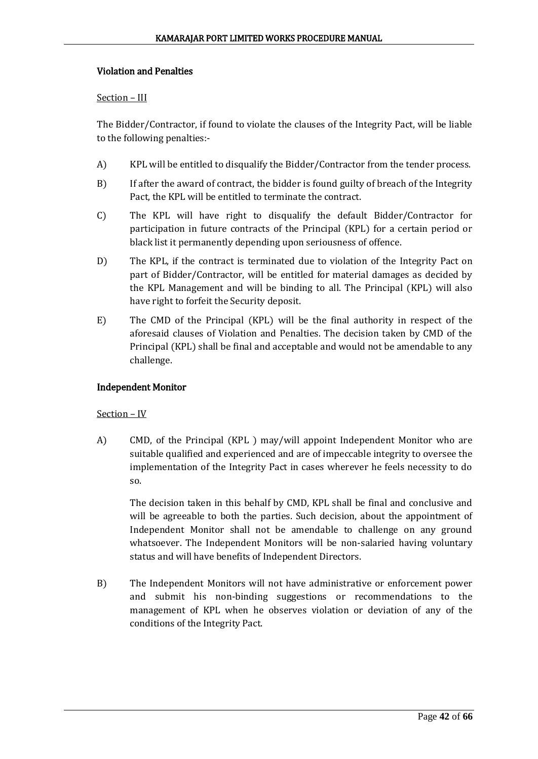## Violation and Penalties

## Section – III

The Bidder/Contractor, if found to violate the clauses of the Integrity Pact, will be liable to the following penalties:-

- A) KPL will be entitled to disqualify the Bidder/Contractor from the tender process.
- B) If after the award of contract, the bidder is found guilty of breach of the Integrity Pact, the KPL will be entitled to terminate the contract.
- C) The KPL will have right to disqualify the default Bidder/Contractor for participation in future contracts of the Principal (KPL) for a certain period or black list it permanently depending upon seriousness of offence.
- D) The KPL, if the contract is terminated due to violation of the Integrity Pact on part of Bidder/Contractor, will be entitled for material damages as decided by the KPL Management and will be binding to all. The Principal (KPL) will also have right to forfeit the Security deposit.
- E) The CMD of the Principal (KPL) will be the final authority in respect of the aforesaid clauses of Violation and Penalties. The decision taken by CMD of the Principal (KPL) shall be final and acceptable and would not be amendable to any challenge.

## Independent Monitor

## Section – IV

A) CMD, of the Principal (KPL ) may/will appoint Independent Monitor who are suitable qualified and experienced and are of impeccable integrity to oversee the implementation of the Integrity Pact in cases wherever he feels necessity to do so.

The decision taken in this behalf by CMD, KPL shall be final and conclusive and will be agreeable to both the parties. Such decision, about the appointment of Independent Monitor shall not be amendable to challenge on any ground whatsoever. The Independent Monitors will be non-salaried having voluntary status and will have benefits of Independent Directors.

B) The Independent Monitors will not have administrative or enforcement power and submit his non-binding suggestions or recommendations to the management of KPL when he observes violation or deviation of any of the conditions of the Integrity Pact.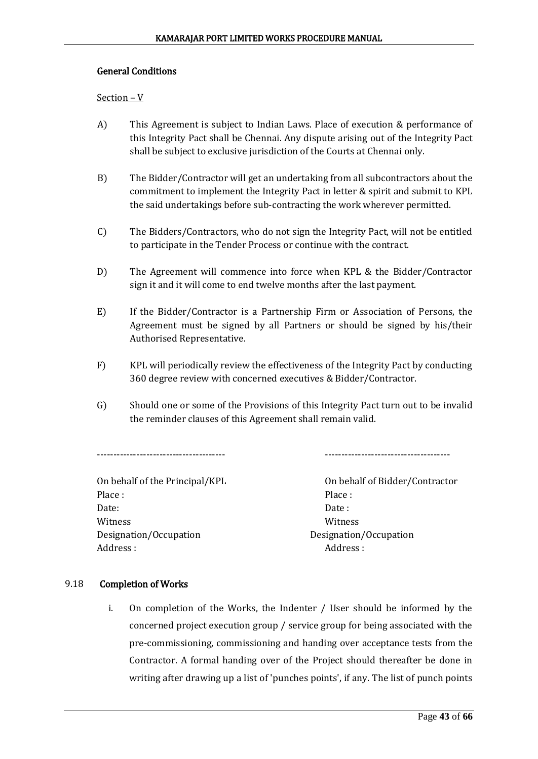## General Conditions

Section – V

- A) This Agreement is subject to Indian Laws. Place of execution & performance of this Integrity Pact shall be Chennai. Any dispute arising out of the Integrity Pact shall be subject to exclusive jurisdiction of the Courts at Chennai only.
- B) The Bidder/Contractor will get an undertaking from all subcontractors about the commitment to implement the Integrity Pact in letter & spirit and submit to KPL the said undertakings before sub-contracting the work wherever permitted.
- C) The Bidders/Contractors, who do not sign the Integrity Pact, will not be entitled to participate in the Tender Process or continue with the contract.
- D) The Agreement will commence into force when KPL & the Bidder/Contractor sign it and it will come to end twelve months after the last payment.
- E) If the Bidder/Contractor is a Partnership Firm or Association of Persons, the Agreement must be signed by all Partners or should be signed by his/their Authorised Representative.
- F) KPL will periodically review the effectiveness of the Integrity Pact by conducting 360 degree review with concerned executives & Bidder/Contractor.
- G) Should one or some of the Provisions of this Integrity Pact turn out to be invalid the reminder clauses of this Agreement shall remain valid.

--------------------------------------- --------------------------------------

On behalf of the Principal/KPL 0n behalf of Bidder/Contractor Place : Place : Place : Place : Place : Place : Place : Place : Place : Place : Place : Place : Place : Place : Place : Place : Place : Place : Place : Place : Place : Place : Place : Place : Place : Place : Place : Place Date: Date: Witness Witness Designation/Occupation Designation/Occupation Address : Address : Address : Address : Address : Address : Address : Address : Address : Address : Address :  $\sim$  Address : Address : Address : Address : Address : Address :  $\sim$  Address : Address :  $\sim$  Address :  $\sim$  Ad

## 9.18 Completion of Works

i. On completion of the Works, the Indenter / User should be informed by the concerned project execution group / service group for being associated with the pre-commissioning, commissioning and handing over acceptance tests from the Contractor. A formal handing over of the Project should thereafter be done in writing after drawing up a list of 'punches points', if any. The list of punch points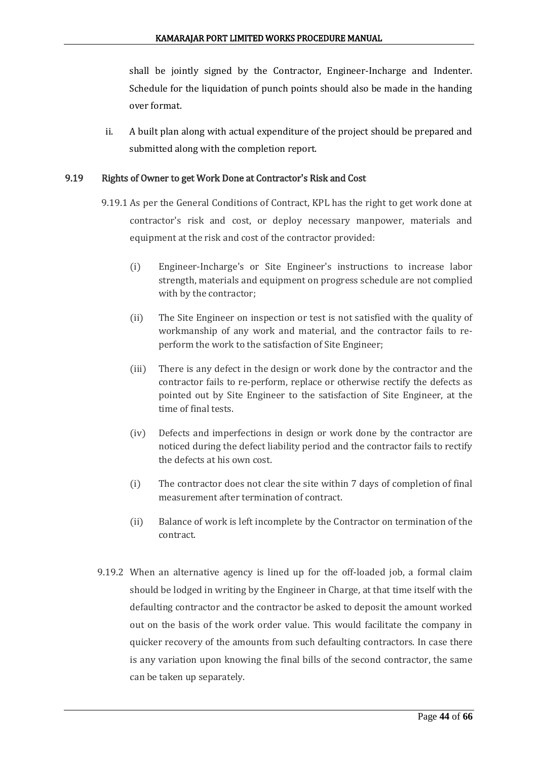shall be jointly signed by the Contractor, Engineer-Incharge and Indenter. Schedule for the liquidation of punch points should also be made in the handing over format.

ii. A built plan along with actual expenditure of the project should be prepared and submitted along with the completion report.

## 9.19 Rights of Owner to get Work Done at Contractor's Risk and Cost

- 9.19.1 As per the General Conditions of Contract, KPL has the right to get work done at contractor's risk and cost, or deploy necessary manpower, materials and equipment at the risk and cost of the contractor provided:
	- (i) Engineer-Incharge's or Site Engineer's instructions to increase labor strength, materials and equipment on progress schedule are not complied with by the contractor;
	- (ii) The Site Engineer on inspection or test is not satisfied with the quality of workmanship of any work and material, and the contractor fails to reperform the work to the satisfaction of Site Engineer;
	- (iii) There is any defect in the design or work done by the contractor and the contractor fails to re-perform, replace or otherwise rectify the defects as pointed out by Site Engineer to the satisfaction of Site Engineer, at the time of final tests.
	- (iv) Defects and imperfections in design or work done by the contractor are noticed during the defect liability period and the contractor fails to rectify the defects at his own cost.
	- (i) The contractor does not clear the site within 7 days of completion of final measurement after termination of contract.
	- (ii) Balance of work is left incomplete by the Contractor on termination of the contract.
- 9.19.2 When an alternative agency is lined up for the off-loaded job, a formal claim should be lodged in writing by the Engineer in Charge, at that time itself with the defaulting contractor and the contractor be asked to deposit the amount worked out on the basis of the work order value. This would facilitate the company in quicker recovery of the amounts from such defaulting contractors. In case there is any variation upon knowing the final bills of the second contractor, the same can be taken up separately.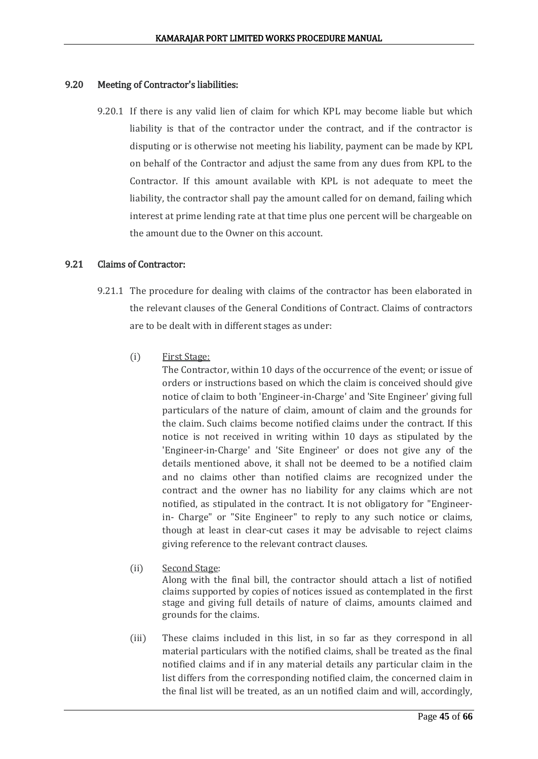#### 9.20 Meeting of Contractor's liabilities:

9.20.1 If there is any valid lien of claim for which KPL may become liable but which liability is that of the contractor under the contract, and if the contractor is disputing or is otherwise not meeting his liability, payment can be made by KPL on behalf of the Contractor and adjust the same from any dues from KPL to the Contractor. If this amount available with KPL is not adequate to meet the liability, the contractor shall pay the amount called for on demand, failing which interest at prime lending rate at that time plus one percent will be chargeable on the amount due to the Owner on this account.

#### 9.21 Claims of Contractor:

- 9.21.1 The procedure for dealing with claims of the contractor has been elaborated in the relevant clauses of the General Conditions of Contract. Claims of contractors are to be dealt with in different stages as under:
	- (i) First Stage:

The Contractor, within 10 days of the occurrence of the event; or issue of orders or instructions based on which the claim is conceived should give notice of claim to both 'Engineer-in-Charge' and 'Site Engineer' giving full particulars of the nature of claim, amount of claim and the grounds for the claim. Such claims become notified claims under the contract. If this notice is not received in writing within 10 days as stipulated by the 'Engineer-in-Charge' and 'Site Engineer' or does not give any of the details mentioned above, it shall not be deemed to be a notified claim and no claims other than notified claims are recognized under the contract and the owner has no liability for any claims which are not notified, as stipulated in the contract. It is not obligatory for "Engineerin- Charge" or "Site Engineer" to reply to any such notice or claims, though at least in clear-cut cases it may be advisable to reject claims giving reference to the relevant contract clauses.

- (ii) Second Stage: Along with the final bill, the contractor should attach a list of notified claims supported by copies of notices issued as contemplated in the first stage and giving full details of nature of claims, amounts claimed and grounds for the claims.
- (iii) These claims included in this list, in so far as they correspond in all material particulars with the notified claims, shall be treated as the final notified claims and if in any material details any particular claim in the list differs from the corresponding notified claim, the concerned claim in the final list will be treated, as an un notified claim and will, accordingly,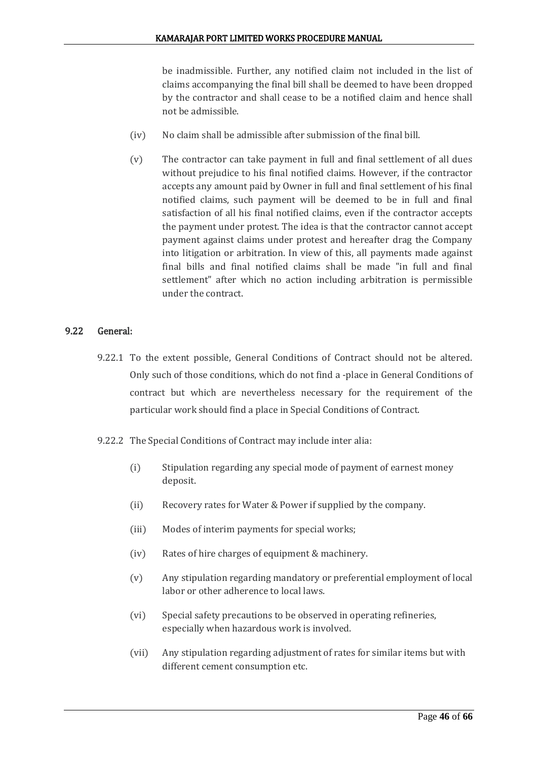be inadmissible. Further, any notified claim not included in the list of claims accompanying the final bill shall be deemed to have been dropped by the contractor and shall cease to be a notified claim and hence shall not be admissible.

- (iv) No claim shall be admissible after submission of the final bill.
- (v) The contractor can take payment in full and final settlement of all dues without prejudice to his final notified claims. However, if the contractor accepts any amount paid by Owner in full and final settlement of his final notified claims, such payment will be deemed to be in full and final satisfaction of all his final notified claims, even if the contractor accepts the payment under protest. The idea is that the contractor cannot accept payment against claims under protest and hereafter drag the Company into litigation or arbitration. In view of this, all payments made against final bills and final notified claims shall be made "in full and final settlement" after which no action including arbitration is permissible under the contract.

## 9.22 General:

- 9.22.1 To the extent possible, General Conditions of Contract should not be altered. Only such of those conditions, which do not find a -place in General Conditions of contract but which are nevertheless necessary for the requirement of the particular work should find a place in Special Conditions of Contract.
- 9.22.2 The Special Conditions of Contract may include inter alia:
	- (i) Stipulation regarding any special mode of payment of earnest money deposit.
	- (ii) Recovery rates for Water & Power if supplied by the company.
	- (iii) Modes of interim payments for special works;
	- (iv) Rates of hire charges of equipment & machinery.
	- (v) Any stipulation regarding mandatory or preferential employment of local labor or other adherence to local laws.
	- (vi) Special safety precautions to be observed in operating refineries, especially when hazardous work is involved.
	- (vii) Any stipulation regarding adjustment of rates for similar items but with different cement consumption etc.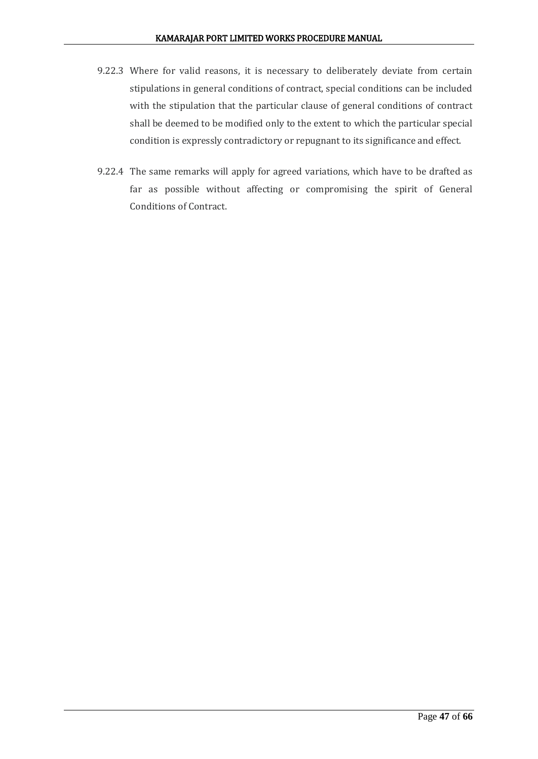- 9.22.3 Where for valid reasons, it is necessary to deliberately deviate from certain stipulations in general conditions of contract, special conditions can be included with the stipulation that the particular clause of general conditions of contract shall be deemed to be modified only to the extent to which the particular special condition is expressly contradictory or repugnant to its significance and effect.
- 9.22.4 The same remarks will apply for agreed variations, which have to be drafted as far as possible without affecting or compromising the spirit of General Conditions of Contract.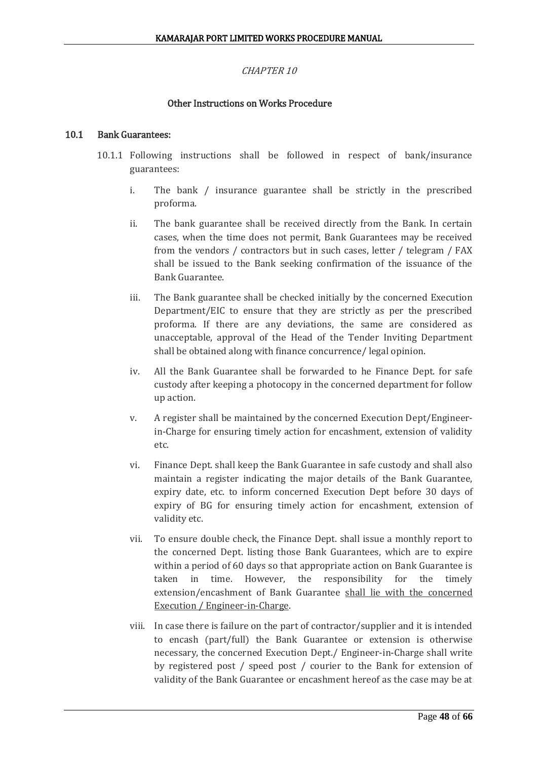## CHAPTER 10

## Other Instructions on Works Procedure

#### 10.1 Bank Guarantees:

- 10.1.1 Following instructions shall be followed in respect of bank/insurance guarantees:
	- i. The bank / insurance guarantee shall be strictly in the prescribed proforma.
	- ii. The bank guarantee shall be received directly from the Bank. In certain cases, when the time does not permit, Bank Guarantees may be received from the vendors / contractors but in such cases, letter / telegram / FAX shall be issued to the Bank seeking confirmation of the issuance of the Bank Guarantee.
	- iii. The Bank guarantee shall be checked initially by the concerned Execution Department/EIC to ensure that they are strictly as per the prescribed proforma. If there are any deviations, the same are considered as unacceptable, approval of the Head of the Tender Inviting Department shall be obtained along with finance concurrence/ legal opinion.
	- iv. All the Bank Guarantee shall be forwarded to he Finance Dept. for safe custody after keeping a photocopy in the concerned department for follow up action.
	- v. A register shall be maintained by the concerned Execution Dept/Engineerin-Charge for ensuring timely action for encashment, extension of validity etc.
	- vi. Finance Dept. shall keep the Bank Guarantee in safe custody and shall also maintain a register indicating the major details of the Bank Guarantee, expiry date, etc. to inform concerned Execution Dept before 30 days of expiry of BG for ensuring timely action for encashment, extension of validity etc.
	- vii. To ensure double check, the Finance Dept. shall issue a monthly report to the concerned Dept. listing those Bank Guarantees, which are to expire within a period of 60 days so that appropriate action on Bank Guarantee is taken in time. However, the responsibility for the timely extension/encashment of Bank Guarantee shall lie with the concerned Execution / Engineer-in-Charge.
	- viii. In case there is failure on the part of contractor/supplier and it is intended to encash (part/full) the Bank Guarantee or extension is otherwise necessary, the concerned Execution Dept./ Engineer-in-Charge shall write by registered post / speed post / courier to the Bank for extension of validity of the Bank Guarantee or encashment hereof as the case may be at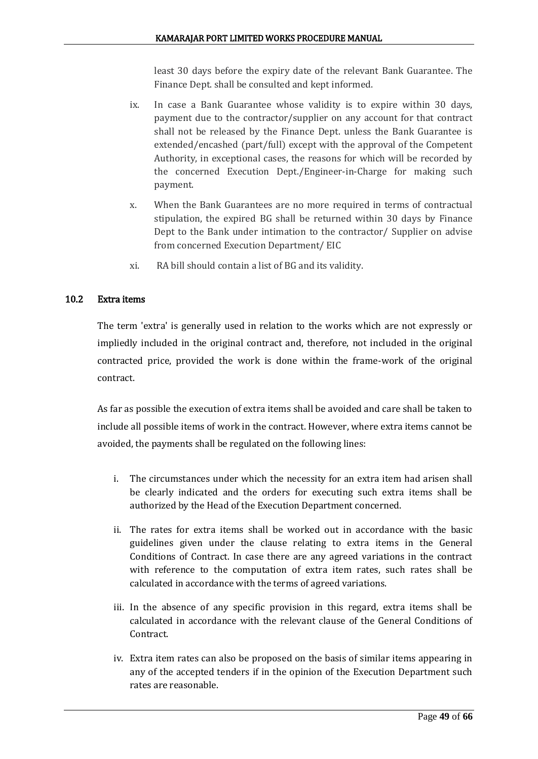least 30 days before the expiry date of the relevant Bank Guarantee. The Finance Dept. shall be consulted and kept informed.

- ix. In case a Bank Guarantee whose validity is to expire within 30 days, payment due to the contractor/supplier on any account for that contract shall not be released by the Finance Dept. unless the Bank Guarantee is extended/encashed (part/full) except with the approval of the Competent Authority, in exceptional cases, the reasons for which will be recorded by the concerned Execution Dept./Engineer-in-Charge for making such payment.
- x. When the Bank Guarantees are no more required in terms of contractual stipulation, the expired BG shall be returned within 30 days by Finance Dept to the Bank under intimation to the contractor/ Supplier on advise from concerned Execution Department/ EIC
- xi. RA bill should contain a list of BG and its validity.

## 10.2 Extra items

The term 'extra' is generally used in relation to the works which are not expressly or impliedly included in the original contract and, therefore, not included in the original contracted price, provided the work is done within the frame-work of the original contract.

As far as possible the execution of extra items shall be avoided and care shall be taken to include all possible items of work in the contract. However, where extra items cannot be avoided, the payments shall be regulated on the following lines:

- i. The circumstances under which the necessity for an extra item had arisen shall be clearly indicated and the orders for executing such extra items shall be authorized by the Head of the Execution Department concerned.
- ii. The rates for extra items shall be worked out in accordance with the basic guidelines given under the clause relating to extra items in the General Conditions of Contract. In case there are any agreed variations in the contract with reference to the computation of extra item rates, such rates shall be calculated in accordance with the terms of agreed variations.
- iii. In the absence of any specific provision in this regard, extra items shall be calculated in accordance with the relevant clause of the General Conditions of Contract.
- iv. Extra item rates can also be proposed on the basis of similar items appearing in any of the accepted tenders if in the opinion of the Execution Department such rates are reasonable.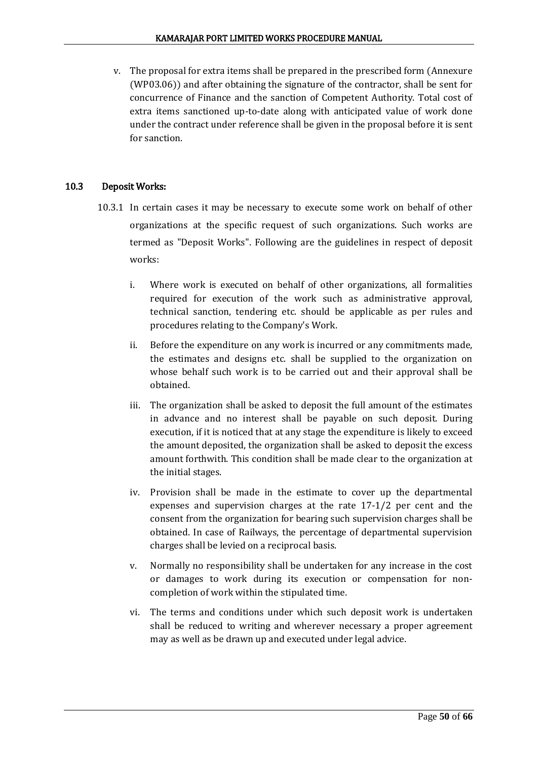v. The proposal for extra items shall be prepared in the prescribed form (Annexure (WP03.06)) and after obtaining the signature of the contractor, shall be sent for concurrence of Finance and the sanction of Competent Authority. Total cost of extra items sanctioned up-to-date along with anticipated value of work done under the contract under reference shall be given in the proposal before it is sent for sanction.

## 10.3 Deposit Works:

- 10.3.1 In certain cases it may be necessary to execute some work on behalf of other organizations at the specific request of such organizations. Such works are termed as "Deposit Works". Following are the guidelines in respect of deposit works:
	- i. Where work is executed on behalf of other organizations, all formalities required for execution of the work such as administrative approval, technical sanction, tendering etc. should be applicable as per rules and procedures relating to the Company's Work.
	- ii. Before the expenditure on any work is incurred or any commitments made, the estimates and designs etc. shall be supplied to the organization on whose behalf such work is to be carried out and their approval shall be obtained.
	- iii. The organization shall be asked to deposit the full amount of the estimates in advance and no interest shall be payable on such deposit. During execution, if it is noticed that at any stage the expenditure is likely to exceed the amount deposited, the organization shall be asked to deposit the excess amount forthwith. This condition shall be made clear to the organization at the initial stages.
	- iv. Provision shall be made in the estimate to cover up the departmental expenses and supervision charges at the rate 17-1/2 per cent and the consent from the organization for bearing such supervision charges shall be obtained. In case of Railways, the percentage of departmental supervision charges shall be levied on a reciprocal basis.
	- v. Normally no responsibility shall be undertaken for any increase in the cost or damages to work during its execution or compensation for noncompletion of work within the stipulated time.
	- vi. The terms and conditions under which such deposit work is undertaken shall be reduced to writing and wherever necessary a proper agreement may as well as be drawn up and executed under legal advice.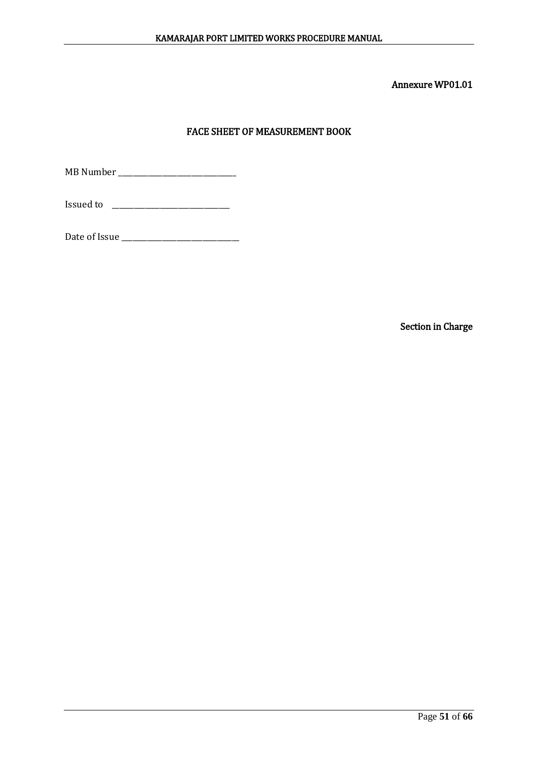## FACE SHEET OF MEASUREMENT BOOK

MB Number \_\_\_\_\_\_\_\_\_\_\_\_\_\_\_\_\_\_\_\_\_\_\_\_\_\_\_\_\_\_\_\_

**Issued to \_\_\_\_\_\_\_\_\_\_\_\_\_\_\_\_\_\_\_\_\_\_\_\_\_\_\_\_\_\_\_** 

Date of Issue \_\_\_\_\_\_\_\_\_\_\_\_\_\_\_\_\_\_\_\_\_\_\_\_\_\_\_\_\_\_\_\_

Section in Charge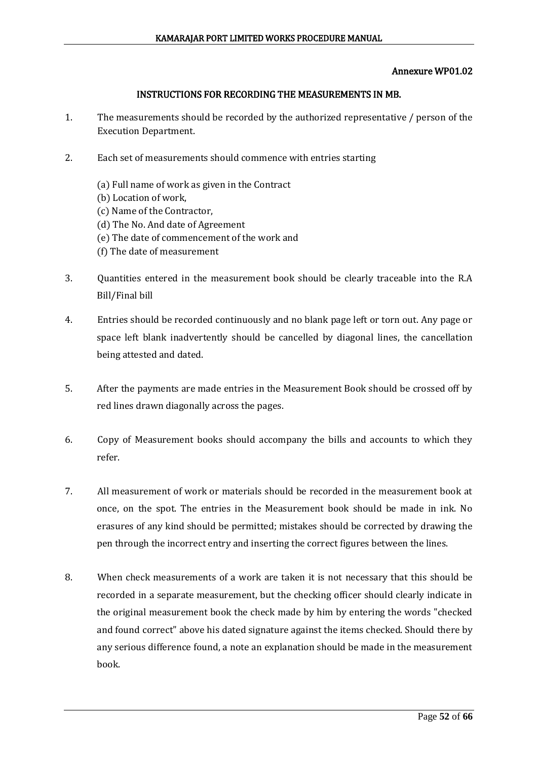#### INSTRUCTIONS FOR RECORDING THE MEASUREMENTS IN MB.

- 1. The measurements should be recorded by the authorized representative / person of the Execution Department.
- 2. Each set of measurements should commence with entries starting
	- (a) Full name of work as given in the Contract
	- (b) Location of work,
	- (c) Name of the Contractor,
	- (d) The No. And date of Agreement
	- (e) The date of commencement of the work and
	- (f) The date of measurement
- 3. Quantities entered in the measurement book should be clearly traceable into the R.A Bill/Final bill
- 4. Entries should be recorded continuously and no blank page left or torn out. Any page or space left blank inadvertently should be cancelled by diagonal lines, the cancellation being attested and dated.
- 5. After the payments are made entries in the Measurement Book should be crossed off by red lines drawn diagonally across the pages.
- 6. Copy of Measurement books should accompany the bills and accounts to which they refer.
- 7. All measurement of work or materials should be recorded in the measurement book at once, on the spot. The entries in the Measurement book should be made in ink. No erasures of any kind should be permitted; mistakes should be corrected by drawing the pen through the incorrect entry and inserting the correct figures between the lines.
- 8. When check measurements of a work are taken it is not necessary that this should be recorded in a separate measurement, but the checking officer should clearly indicate in the original measurement book the check made by him by entering the words "checked and found correct" above his dated signature against the items checked. Should there by any serious difference found, a note an explanation should be made in the measurement book.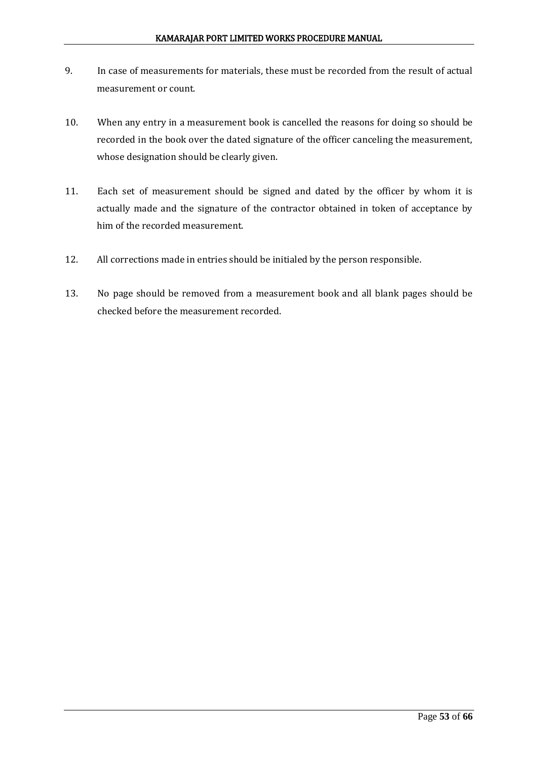- 9. In case of measurements for materials, these must be recorded from the result of actual measurement or count.
- 10. When any entry in a measurement book is cancelled the reasons for doing so should be recorded in the book over the dated signature of the officer canceling the measurement, whose designation should be clearly given.
- 11. Each set of measurement should be signed and dated by the officer by whom it is actually made and the signature of the contractor obtained in token of acceptance by him of the recorded measurement.
- 12. All corrections made in entries should be initialed by the person responsible.
- 13. No page should be removed from a measurement book and all blank pages should be checked before the measurement recorded.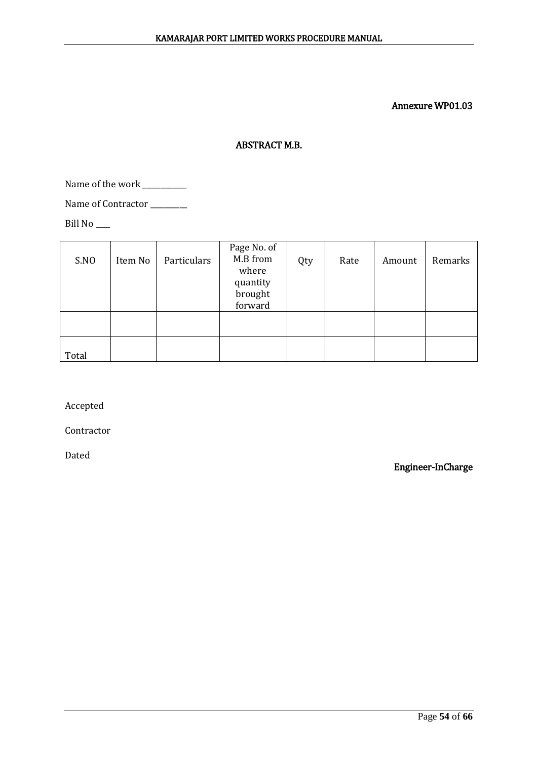## ABSTRACT M.B.

Name of the work \_\_\_\_\_\_\_\_\_\_\_\_

Name of Contractor \_\_\_\_\_\_\_\_\_\_

Bill No \_\_\_\_

| S.NO  | Item No | Particulars | Page No. of<br>M.B from<br>where<br>quantity<br>brought<br>forward | Qty | Rate | Amount | Remarks |
|-------|---------|-------------|--------------------------------------------------------------------|-----|------|--------|---------|
|       |         |             |                                                                    |     |      |        |         |
| Total |         |             |                                                                    |     |      |        |         |

Accepted

Contractor

Dated

Engineer-InCharge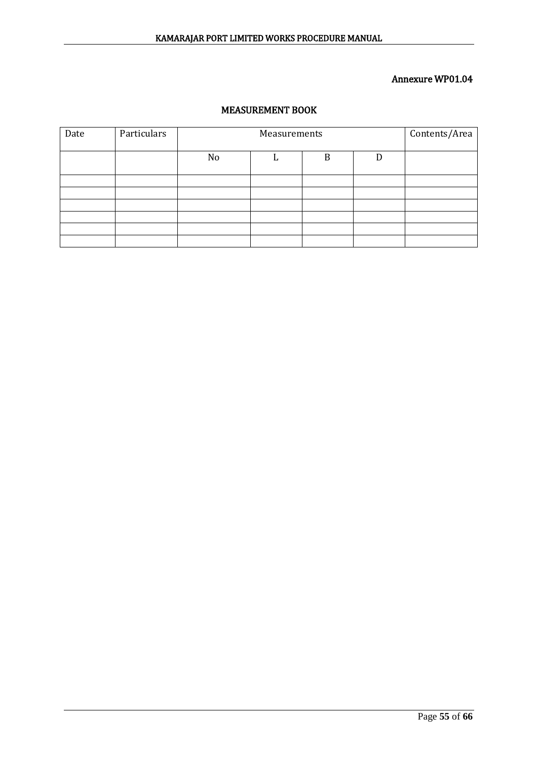## MEASUREMENT BOOK

| Date | Particulars |    | Contents/Area |  |  |
|------|-------------|----|---------------|--|--|
|      |             | No | B             |  |  |
|      |             |    |               |  |  |
|      |             |    |               |  |  |
|      |             |    |               |  |  |
|      |             |    |               |  |  |
|      |             |    |               |  |  |
|      |             |    |               |  |  |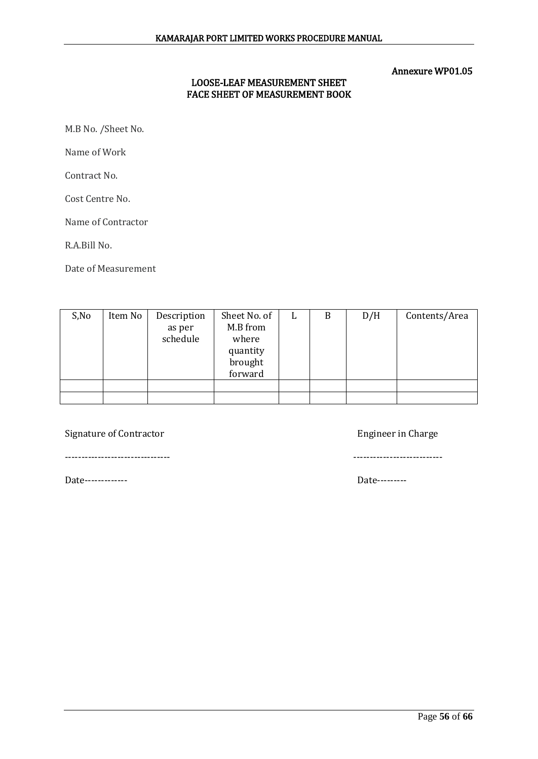## LOOSE-LEAF MEASUREMENT SHEET FACE SHEET OF MEASUREMENT BOOK

M.B No. /Sheet No.

Name of Work

Contract No.

Cost Centre No.

Name of Contractor

R.A.Bill No.

Date of Measurement

| S, No | Item No | Description | Sheet No. of | L | B | D/H | Contents/Area |
|-------|---------|-------------|--------------|---|---|-----|---------------|
|       |         | as per      | M.B from     |   |   |     |               |
|       |         | schedule    | where        |   |   |     |               |
|       |         |             | quantity     |   |   |     |               |
|       |         |             | brought      |   |   |     |               |
|       |         |             | forward      |   |   |     |               |
|       |         |             |              |   |   |     |               |
|       |         |             |              |   |   |     |               |

Signature of Contractor **Engineer** in Charge

-------------------------------- ---------------------------

Date------------- Date---------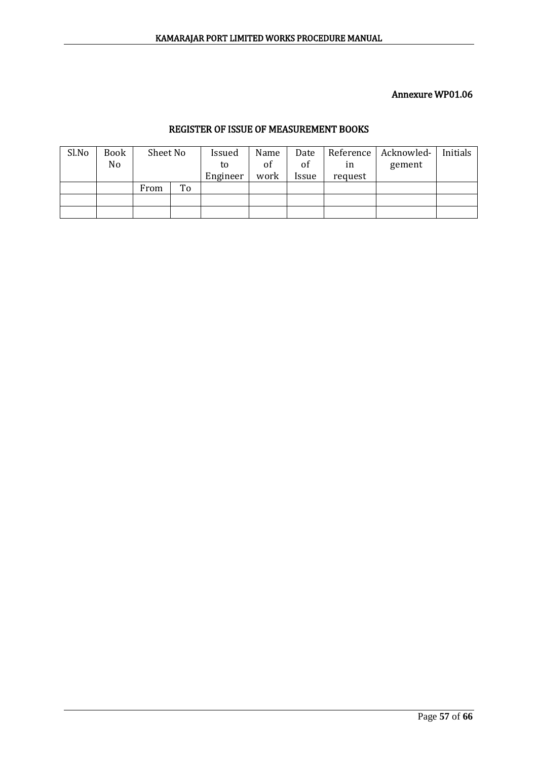## REGISTER OF ISSUE OF MEASUREMENT BOOKS

| Sl.No | <b>Book</b>    | Sheet No |    | Issued   | Name | Date  |         | Reference   Acknowled- | Initials |
|-------|----------------|----------|----|----------|------|-------|---------|------------------------|----------|
|       | N <sub>o</sub> |          |    | to       | of   | of    | ın      | gement                 |          |
|       |                |          |    | Engineer | work | Issue | request |                        |          |
|       |                | From     | To |          |      |       |         |                        |          |
|       |                |          |    |          |      |       |         |                        |          |
|       |                |          |    |          |      |       |         |                        |          |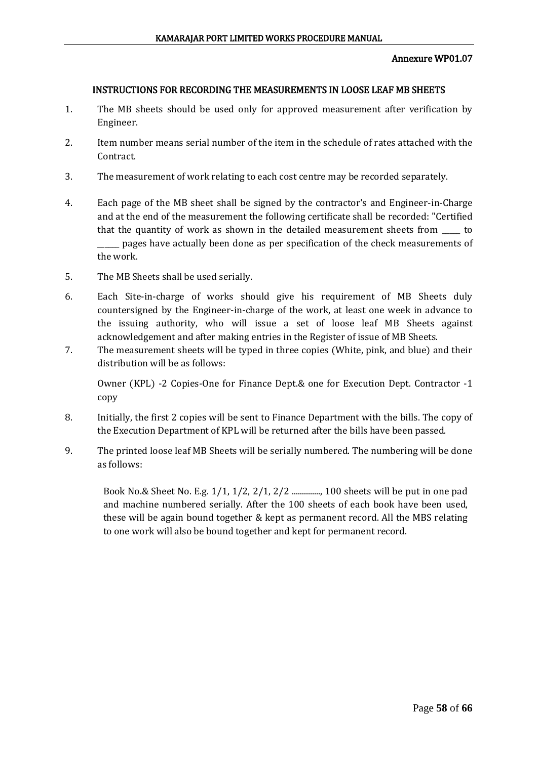#### INSTRUCTIONS FOR RECORDING THE MEASUREMENTS IN LOOSE LEAF MB SHEETS

- 1. The MB sheets should be used only for approved measurement after verification by Engineer.
- 2. Item number means serial number of the item in the schedule of rates attached with the Contract.
- 3. The measurement of work relating to each cost centre may be recorded separately.
- 4. Each page of the MB sheet shall be signed by the contractor's and Engineer-in-Charge and at the end of the measurement the following certificate shall be recorded: "Certified that the quantity of work as shown in the detailed measurement sheets from \_\_\_\_\_ to \_\_\_\_\_\_ pages have actually been done as per specification of the check measurements of the work.
- 5. The MB Sheets shall be used serially.
- 6. Each Site-in-charge of works should give his requirement of MB Sheets duly countersigned by the Engineer-in-charge of the work, at least one week in advance to the issuing authority, who will issue a set of loose leaf MB Sheets against acknowledgement and after making entries in the Register of issue of MB Sheets.
- 7. The measurement sheets will be typed in three copies (White, pink, and blue) and their distribution will be as follows:

Owner (KPL) -2 Copies-One for Finance Dept.& one for Execution Dept. Contractor -1 copy

- 8. Initially, the first 2 copies will be sent to Finance Department with the bills. The copy of the Execution Department of KPL will be returned after the bills have been passed.
- 9. The printed loose leaf MB Sheets will be serially numbered. The numbering will be done as follows:

Book No.& Sheet No. E.g. 1/1, 1/2, 2/1, 2/2 .............., 100 sheets will be put in one pad and machine numbered serially. After the 100 sheets of each book have been used, these will be again bound together & kept as permanent record. All the MBS relating to one work will also be bound together and kept for permanent record.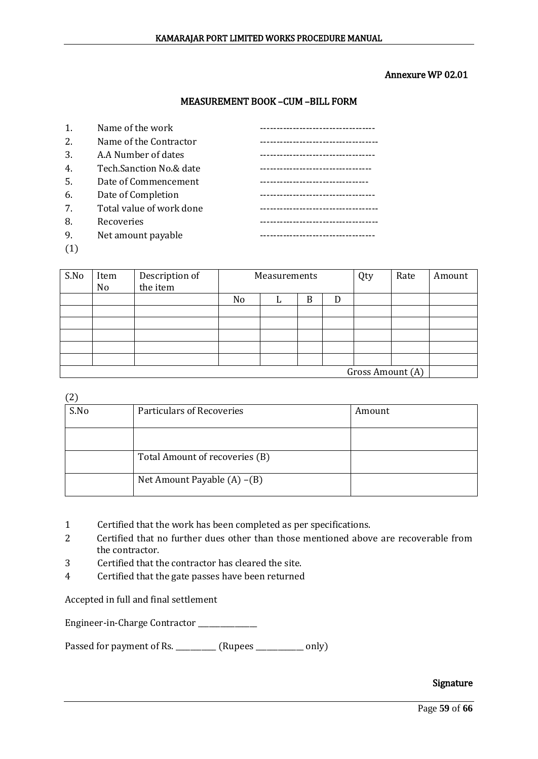#### Annexure WP 02.01

#### MEASUREMENT BOOK –CUM –BILL FORM

| 1.     | Name of the work         |                           |
|--------|--------------------------|---------------------------|
| 2.     | Name of the Contractor   |                           |
| 3.     | A.A Number of dates      | ------------------------- |
| 4.     | Tech.Sanction No.& date  |                           |
| -5.    | Date of Commencement     |                           |
| 6.     | Date of Completion       |                           |
| 7.     | Total value of work done |                           |
| 8.     | Recoveries               |                           |
| 9.     | Net amount payable       |                           |
| $\sim$ |                          |                           |

(1)

| S.No             | Item<br>No | Description of<br>the item | Measurements |  |   |   | Qty | Rate | Amount |
|------------------|------------|----------------------------|--------------|--|---|---|-----|------|--------|
|                  |            |                            | No           |  | B | D |     |      |        |
|                  |            |                            |              |  |   |   |     |      |        |
|                  |            |                            |              |  |   |   |     |      |        |
|                  |            |                            |              |  |   |   |     |      |        |
|                  |            |                            |              |  |   |   |     |      |        |
|                  |            |                            |              |  |   |   |     |      |        |
| Gross Amount (A) |            |                            |              |  |   |   |     |      |        |

(2)

| S.No | Particulars of Recoveries      | Amount |
|------|--------------------------------|--------|
|      |                                |        |
|      | Total Amount of recoveries (B) |        |
|      | Net Amount Payable (A) –(B)    |        |

- 1 Certified that the work has been completed as per specifications.
- 2 Certified that no further dues other than those mentioned above are recoverable from the contractor.
- 3 Certified that the contractor has cleared the site.
- 4 Certified that the gate passes have been returned

Accepted in full and final settlement

Engineer-in-Charge Contractor \_\_\_\_\_\_\_\_\_\_\_\_

Passed for payment of Rs. \_\_\_\_\_\_\_\_\_\_ (Rupees \_\_\_\_\_\_\_\_\_\_\_ only)

#### Signature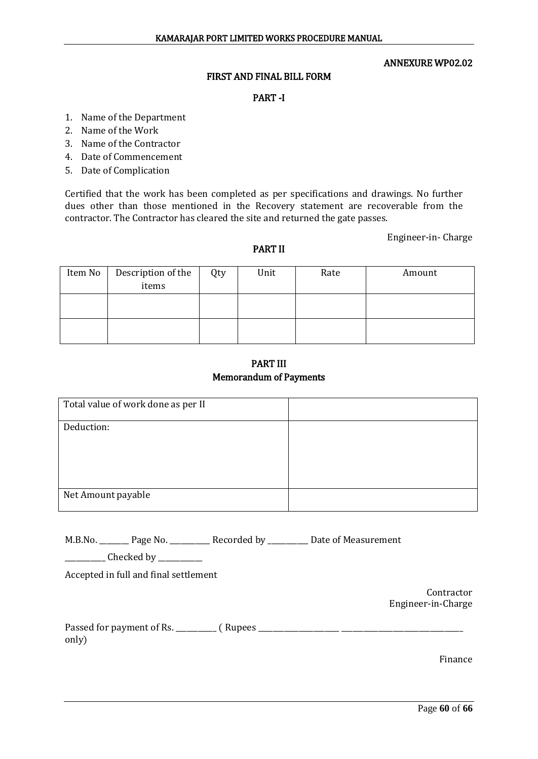#### ANNEXURE WP02.02

#### FIRST AND FINAL BILL FORM

#### PART -I

- 1. Name of the Department
- 2. Name of the Work
- 3. Name of the Contractor
- 4. Date of Commencement
- 5. Date of Complication

Certified that the work has been completed as per specifications and drawings. No further dues other than those mentioned in the Recovery statement are recoverable from the contractor. The Contractor has cleared the site and returned the gate passes.

Engineer-in- Charge

#### PART II

| Item No | Description of the<br>items | Qty | Unit | Rate | Amount |
|---------|-----------------------------|-----|------|------|--------|
|         |                             |     |      |      |        |
|         |                             |     |      |      |        |
|         |                             |     |      |      |        |
|         |                             |     |      |      |        |
|         |                             |     |      |      |        |

PART III Memorandum of Payments

| Total value of work done as per II |  |
|------------------------------------|--|
| Deduction:                         |  |
|                                    |  |
|                                    |  |
| Net Amount payable                 |  |

| M.B.No. | Page No. | Recorded by | Date of Measurement |
|---------|----------|-------------|---------------------|
|         |          |             |                     |

\_\_\_\_\_\_\_\_\_\_\_ Checked by \_\_\_\_\_\_\_\_\_\_\_\_

Accepted in full and final settlement

Contractor Engineer-in-Charge

| Passed for payment of Rs. | ( Rupees |
|---------------------------|----------|
| only)                     |          |

Finance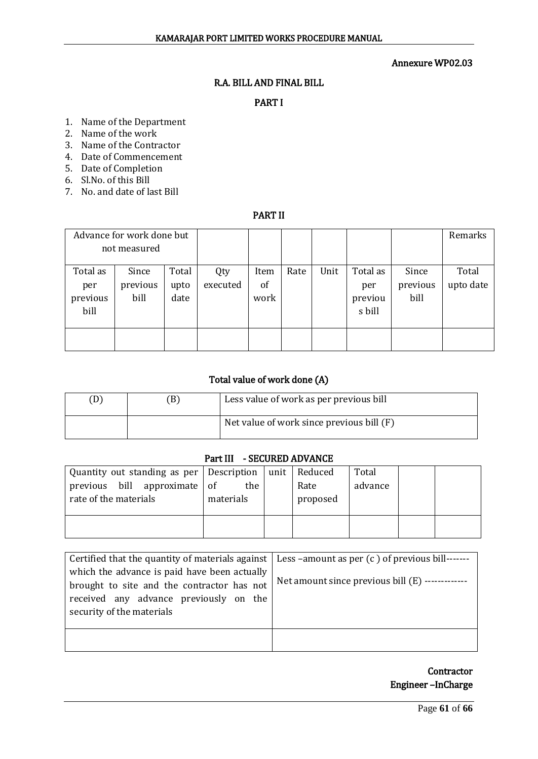## R.A. BILL AND FINAL BILL

## PART I

- 1. Name of the Department
- 2. Name of the work
- 3. Name of the Contractor
- 4. Date of Commencement
- 5. Date of Completion
- 6. Sl.No. of this Bill
- 7. No. and date of last Bill

## PART II

| Advance for work done but<br>not measured |                           |                       |                 |                    |      |      |                                      | Remarks                   |                    |
|-------------------------------------------|---------------------------|-----------------------|-----------------|--------------------|------|------|--------------------------------------|---------------------------|--------------------|
| Total as<br>per<br>previous<br>bill       | Since<br>previous<br>bill | Total<br>upto<br>date | Qty<br>executed | Item<br>of<br>work | Rate | Unit | Total as<br>per<br>previou<br>s bill | Since<br>previous<br>bill | Total<br>upto date |
|                                           |                           |                       |                 |                    |      |      |                                      |                           |                    |

## Total value of work done (A)

|  | Less value of work as per previous bill   |
|--|-------------------------------------------|
|  | Net value of work since previous bill (F) |

#### Part III - SECURED ADVANCE

| Quantity out standing as per Description | unit                                             | Total                       |         |  |
|------------------------------------------|--------------------------------------------------|-----------------------------|---------|--|
|                                          |                                                  |                             |         |  |
|                                          |                                                  |                             |         |  |
|                                          |                                                  |                             |         |  |
|                                          | previous bill approximate of<br>the<br>materials | Reduced<br>Rate<br>proposed | advance |  |

| Certified that the quantity of materials against $\vert$ Less -amount as per $(c)$ of previous bill-------                                                        |                                                  |
|-------------------------------------------------------------------------------------------------------------------------------------------------------------------|--------------------------------------------------|
| which the advance is paid have been actually<br>brought to site and the contractor has not<br>received any advance previously on the<br>security of the materials | Net amount since previous bill (E) ------------- |
|                                                                                                                                                                   |                                                  |

**Contractor** Engineer –InCharge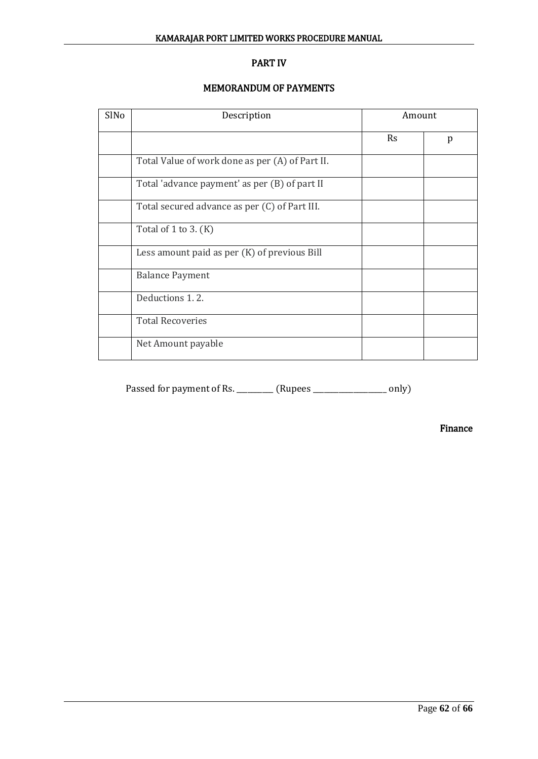## PART IV

## MEMORANDUM OF PAYMENTS

| SlNo | Description                                     | Amount    |   |
|------|-------------------------------------------------|-----------|---|
|      |                                                 | <b>Rs</b> | p |
|      | Total Value of work done as per (A) of Part II. |           |   |
|      | Total 'advance payment' as per (B) of part II   |           |   |
|      | Total secured advance as per (C) of Part III.   |           |   |
|      | Total of $1$ to $3. (K)$                        |           |   |
|      | Less amount paid as per (K) of previous Bill    |           |   |
|      | <b>Balance Payment</b>                          |           |   |
|      | Deductions 1.2.                                 |           |   |
|      | <b>Total Recoveries</b>                         |           |   |
|      | Net Amount payable                              |           |   |

Passed for payment of Rs. \_\_\_\_\_\_\_\_\_ (Rupees \_\_\_\_\_\_\_\_\_\_\_\_\_\_\_\_\_\_ only)

Finance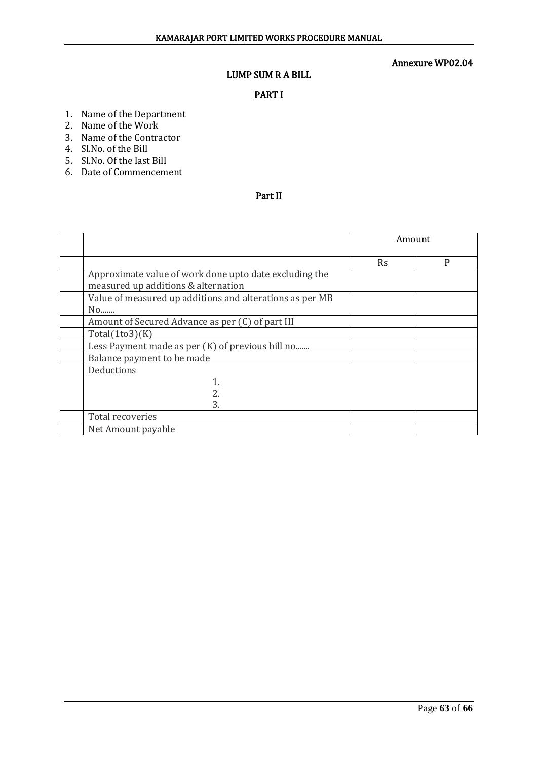## LUMP SUM R A BILL

## PART I

- 1. Name of the Department
- 2. Name of the Work
- 3. Name of the Contractor
- 4. Sl.No. of the Bill
- 5. Sl.No. Of the last Bill
- 6. Date of Commencement

## Part II

|                                                          | Amount    |   |  |
|----------------------------------------------------------|-----------|---|--|
|                                                          | <b>Rs</b> | P |  |
| Approximate value of work done upto date excluding the   |           |   |  |
| measured up additions & alternation                      |           |   |  |
| Value of measured up additions and alterations as per MB |           |   |  |
| No                                                       |           |   |  |
| Amount of Secured Advance as per (C) of part III         |           |   |  |
| Total(1to3)(K)                                           |           |   |  |
| Less Payment made as per (K) of previous bill no         |           |   |  |
| Balance payment to be made                               |           |   |  |
| Deductions                                               |           |   |  |
|                                                          |           |   |  |
| 2.                                                       |           |   |  |
| 3.                                                       |           |   |  |
| Total recoveries                                         |           |   |  |
| Net Amount payable                                       |           |   |  |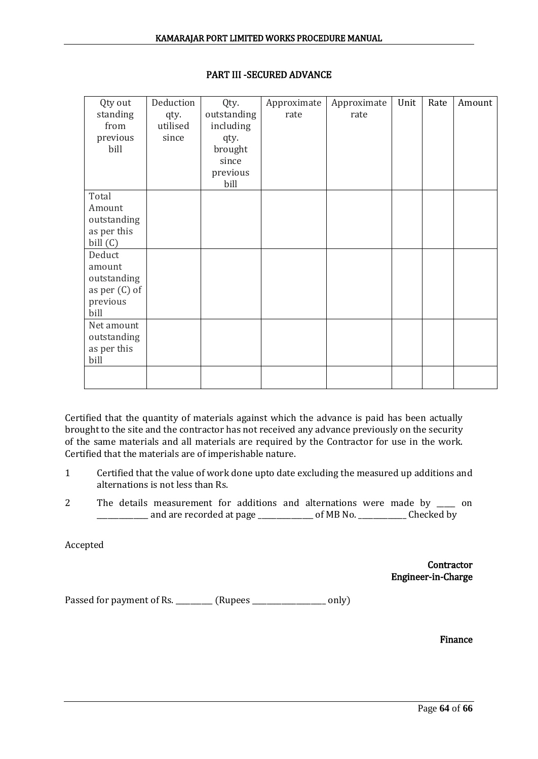| Qty out         | Deduction | Qty.        | Approximate | Approximate | Unit | Rate | Amount |
|-----------------|-----------|-------------|-------------|-------------|------|------|--------|
| standing        | qty.      | outstanding | rate        | rate        |      |      |        |
| from            | utilised  | including   |             |             |      |      |        |
| previous        | since     | qty.        |             |             |      |      |        |
| bill            |           | brought     |             |             |      |      |        |
|                 |           | since       |             |             |      |      |        |
|                 |           | previous    |             |             |      |      |        |
|                 |           | bill        |             |             |      |      |        |
| Total           |           |             |             |             |      |      |        |
| Amount          |           |             |             |             |      |      |        |
| outstanding     |           |             |             |             |      |      |        |
| as per this     |           |             |             |             |      |      |        |
| bill $(C)$      |           |             |             |             |      |      |        |
| Deduct          |           |             |             |             |      |      |        |
| amount          |           |             |             |             |      |      |        |
| outstanding     |           |             |             |             |      |      |        |
| as per $(C)$ of |           |             |             |             |      |      |        |
| previous        |           |             |             |             |      |      |        |
| bill            |           |             |             |             |      |      |        |
| Net amount      |           |             |             |             |      |      |        |
| outstanding     |           |             |             |             |      |      |        |
| as per this     |           |             |             |             |      |      |        |
| bill            |           |             |             |             |      |      |        |
|                 |           |             |             |             |      |      |        |
|                 |           |             |             |             |      |      |        |

## PART III -SECURED ADVANCE

Certified that the quantity of materials against which the advance is paid has been actually brought to the site and the contractor has not received any advance previously on the security of the same materials and all materials are required by the Contractor for use in the work. Certified that the materials are of imperishable nature.

- 1 Certified that the value of work done upto date excluding the measured up additions and alternations is not less than Rs.
- 2 The details measurement for additions and alternations were made by \_\_\_\_\_ on \_\_\_\_\_\_\_\_\_\_\_\_\_\_ and are recorded at page \_\_\_\_\_\_\_\_\_\_\_\_\_\_\_ of MB No. \_\_\_\_\_\_\_\_\_\_\_\_\_ Checked by

Accepted

**Contractor** Engineer-in-Charge

Passed for payment of Rs. \_\_\_\_\_\_\_\_\_ (Rupees \_\_\_\_\_\_\_\_\_\_\_\_\_\_\_\_\_\_ only)

Finance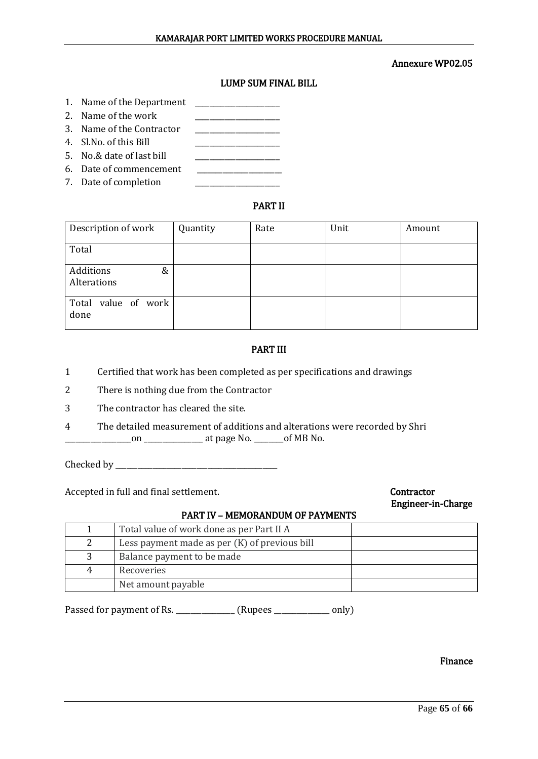## LUMP SUM FINAL BILL

- 1. Name of the Department
- 2. Name of the work
- 3. Name of the Contractor \_\_\_\_\_\_\_\_\_\_\_\_\_\_\_\_\_\_\_\_\_\_\_
- 4. Sl.No. of this Bill \_\_\_\_\_\_\_\_\_\_\_\_\_\_\_\_\_\_\_\_\_\_\_
- 5. No.& date of last bill
- 6. Date of commencement \_\_\_\_\_\_\_\_\_\_\_\_\_\_\_\_\_\_\_\_\_\_\_
- 7. Date of completion

## PART II

| Description of work           | Quantity | Rate | Unit | Amount |
|-------------------------------|----------|------|------|--------|
| Total                         |          |      |      |        |
| Additions<br>&<br>Alterations |          |      |      |        |
| Total value of work<br>done   |          |      |      |        |

## PART III

- 1 Certified that work has been completed as per specifications and drawings
- 2 There is nothing due from the Contractor
- 3 The contractor has cleared the site.
- 4 The detailed measurement of additions and alterations were recorded by Shri \_\_\_\_\_\_\_\_\_\_\_\_\_\_\_\_\_\_on \_\_\_\_\_\_\_\_\_\_\_\_\_\_\_\_ at page No. \_\_\_\_\_\_\_\_of MB No.

Checked by \_\_\_\_\_\_\_\_\_\_\_\_\_\_\_\_\_\_\_\_\_\_\_\_\_\_\_\_\_\_\_\_\_\_\_\_\_\_\_\_\_\_\_\_

Accepted in full and final settlement. Contractor

# Engineer-in-Charge

#### PART IV – MEMORANDUM OF PAYMENTS

|   | Total value of work done as per Part II A       |  |
|---|-------------------------------------------------|--|
| 2 | Less payment made as per $(K)$ of previous bill |  |
|   | Balance payment to be made                      |  |
| 4 | Recoveries                                      |  |
|   | Net amount payable                              |  |

Passed for payment of Rs. \_\_\_\_\_\_\_\_\_\_\_\_\_\_\_ (Rupees \_\_\_\_\_\_\_\_\_\_\_\_ only)

#### Finance